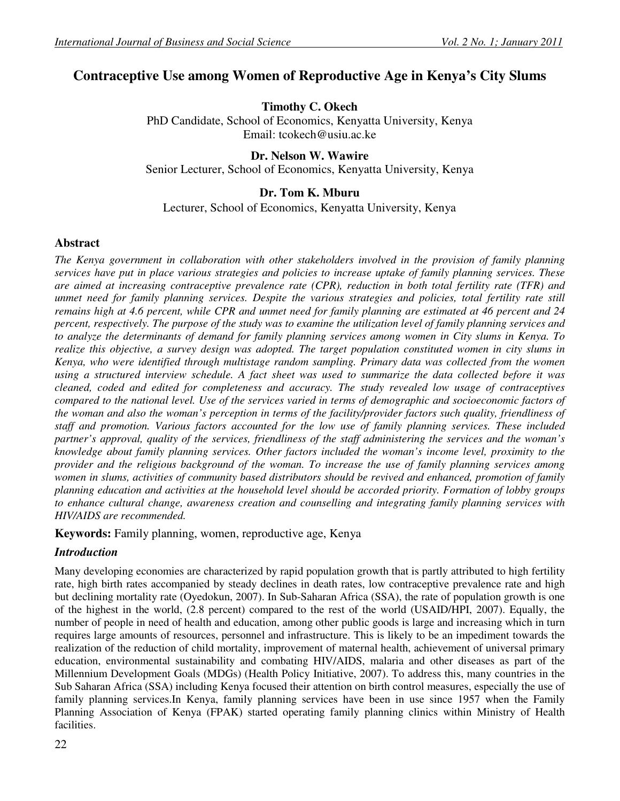# **Contraceptive Use among Women of Reproductive Age in Kenya's City Slums**

**Timothy C. Okech**  PhD Candidate, School of Economics, Kenyatta University, Kenya Email: tcokech@usiu.ac.ke

**Dr. Nelson W. Wawire**  Senior Lecturer, School of Economics, Kenyatta University, Kenya

# **Dr. Tom K. Mburu**

Lecturer, School of Economics, Kenyatta University, Kenya

# **Abstract**

*The Kenya government in collaboration with other stakeholders involved in the provision of family planning services have put in place various strategies and policies to increase uptake of family planning services. These are aimed at increasing contraceptive prevalence rate (CPR), reduction in both total fertility rate (TFR) and unmet need for family planning services. Despite the various strategies and policies, total fertility rate still remains high at 4.6 percent, while CPR and unmet need for family planning are estimated at 46 percent and 24 percent, respectively. The purpose of the study was to examine the utilization level of family planning services and to analyze the determinants of demand for family planning services among women in City slums in Kenya. To realize this objective, a survey design was adopted. The target population constituted women in city slums in Kenya, who were identified through multistage random sampling. Primary data was collected from the women using a structured interview schedule. A fact sheet was used to summarize the data collected before it was cleaned, coded and edited for completeness and accuracy. The study revealed low usage of contraceptives compared to the national level. Use of the services varied in terms of demographic and socioeconomic factors of the woman and also the woman's perception in terms of the facility/provider factors such quality, friendliness of staff and promotion. Various factors accounted for the low use of family planning services. These included partner's approval, quality of the services, friendliness of the staff administering the services and the woman's knowledge about family planning services. Other factors included the woman's income level, proximity to the provider and the religious background of the woman. To increase the use of family planning services among women in slums, activities of community based distributors should be revived and enhanced, promotion of family planning education and activities at the household level should be accorded priority. Formation of lobby groups to enhance cultural change, awareness creation and counselling and integrating family planning services with HIV/AIDS are recommended.* 

**Keywords:** Family planning, women, reproductive age, Kenya

# *Introduction*

Many developing economies are characterized by rapid population growth that is partly attributed to high fertility rate, high birth rates accompanied by steady declines in death rates, low contraceptive prevalence rate and high but declining mortality rate (Oyedokun, 2007). In Sub-Saharan Africa (SSA), the rate of population growth is one of the highest in the world, (2.8 percent) compared to the rest of the world (USAID/HPI, 2007). Equally, the number of people in need of health and education, among other public goods is large and increasing which in turn requires large amounts of resources, personnel and infrastructure. This is likely to be an impediment towards the realization of the reduction of child mortality, improvement of maternal health, achievement of universal primary education, environmental sustainability and combating HIV/AIDS, malaria and other diseases as part of the Millennium Development Goals (MDGs) (Health Policy Initiative, 2007). To address this, many countries in the Sub Saharan Africa (SSA) including Kenya focused their attention on birth control measures, especially the use of family planning services.In Kenya, family planning services have been in use since 1957 when the Family Planning Association of Kenya (FPAK) started operating family planning clinics within Ministry of Health facilities.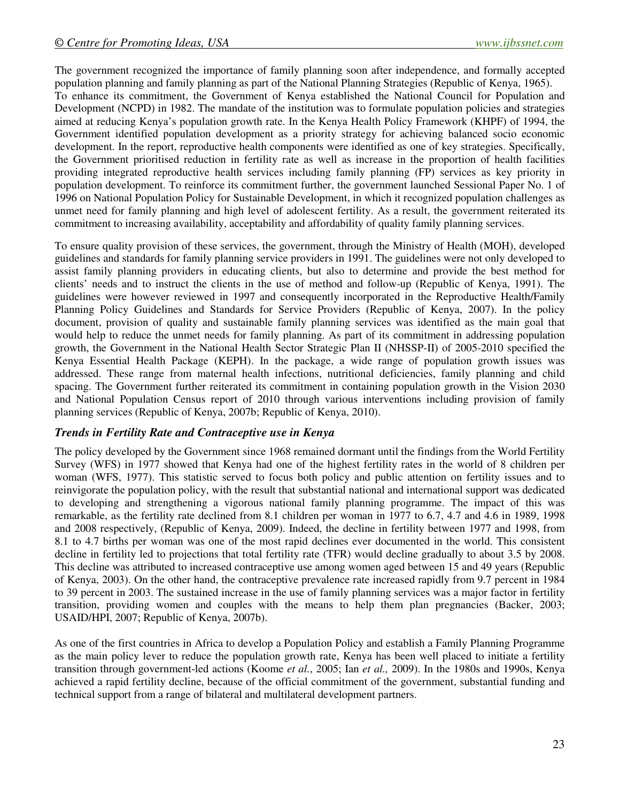The government recognized the importance of family planning soon after independence, and formally accepted population planning and family planning as part of the National Planning Strategies (Republic of Kenya, 1965).

To enhance its commitment, the Government of Kenya established the National Council for Population and Development (NCPD) in 1982. The mandate of the institution was to formulate population policies and strategies aimed at reducing Kenya's population growth rate. In the Kenya Health Policy Framework (KHPF) of 1994, the Government identified population development as a priority strategy for achieving balanced socio economic development. In the report, reproductive health components were identified as one of key strategies. Specifically, the Government prioritised reduction in fertility rate as well as increase in the proportion of health facilities providing integrated reproductive health services including family planning (FP) services as key priority in population development. To reinforce its commitment further, the government launched Sessional Paper No. 1 of 1996 on National Population Policy for Sustainable Development, in which it recognized population challenges as unmet need for family planning and high level of adolescent fertility. As a result, the government reiterated its commitment to increasing availability, acceptability and affordability of quality family planning services.

To ensure quality provision of these services, the government, through the Ministry of Health (MOH), developed guidelines and standards for family planning service providers in 1991. The guidelines were not only developed to assist family planning providers in educating clients, but also to determine and provide the best method for clients' needs and to instruct the clients in the use of method and follow-up (Republic of Kenya, 1991). The guidelines were however reviewed in 1997 and consequently incorporated in the Reproductive Health/Family Planning Policy Guidelines and Standards for Service Providers (Republic of Kenya, 2007). In the policy document, provision of quality and sustainable family planning services was identified as the main goal that would help to reduce the unmet needs for family planning. As part of its commitment in addressing population growth, the Government in the National Health Sector Strategic Plan II (NHSSP-II) of 2005-2010 specified the Kenya Essential Health Package (KEPH). In the package, a wide range of population growth issues was addressed. These range from maternal health infections, nutritional deficiencies, family planning and child spacing. The Government further reiterated its commitment in containing population growth in the Vision 2030 and National Population Census report of 2010 through various interventions including provision of family planning services (Republic of Kenya, 2007b; Republic of Kenya, 2010).

### *Trends in Fertility Rate and Contraceptive use in Kenya*

The policy developed by the Government since 1968 remained dormant until the findings from the World Fertility Survey (WFS) in 1977 showed that Kenya had one of the highest fertility rates in the world of 8 children per woman (WFS, 1977). This statistic served to focus both policy and public attention on fertility issues and to reinvigorate the population policy, with the result that substantial national and international support was dedicated to developing and strengthening a vigorous national family planning programme. The impact of this was remarkable, as the fertility rate declined from 8.1 children per woman in 1977 to 6.7, 4.7 and 4.6 in 1989, 1998 and 2008 respectively, (Republic of Kenya, 2009). Indeed, the decline in fertility between 1977 and 1998, from 8.1 to 4.7 births per woman was one of the most rapid declines ever documented in the world. This consistent decline in fertility led to projections that total fertility rate (TFR) would decline gradually to about 3.5 by 2008. This decline was attributed to increased contraceptive use among women aged between 15 and 49 years (Republic of Kenya, 2003). On the other hand, the contraceptive prevalence rate increased rapidly from 9.7 percent in 1984 to 39 percent in 2003. The sustained increase in the use of family planning services was a major factor in fertility transition, providing women and couples with the means to help them plan pregnancies (Backer, 2003; USAID/HPI, 2007; Republic of Kenya, 2007b).

As one of the first countries in Africa to develop a Population Policy and establish a Family Planning Programme as the main policy lever to reduce the population growth rate, Kenya has been well placed to initiate a fertility transition through government-led actions (Koome *et al.*, 2005; Ian *et al.,* 2009). In the 1980s and 1990s, Kenya achieved a rapid fertility decline, because of the official commitment of the government, substantial funding and technical support from a range of bilateral and multilateral development partners.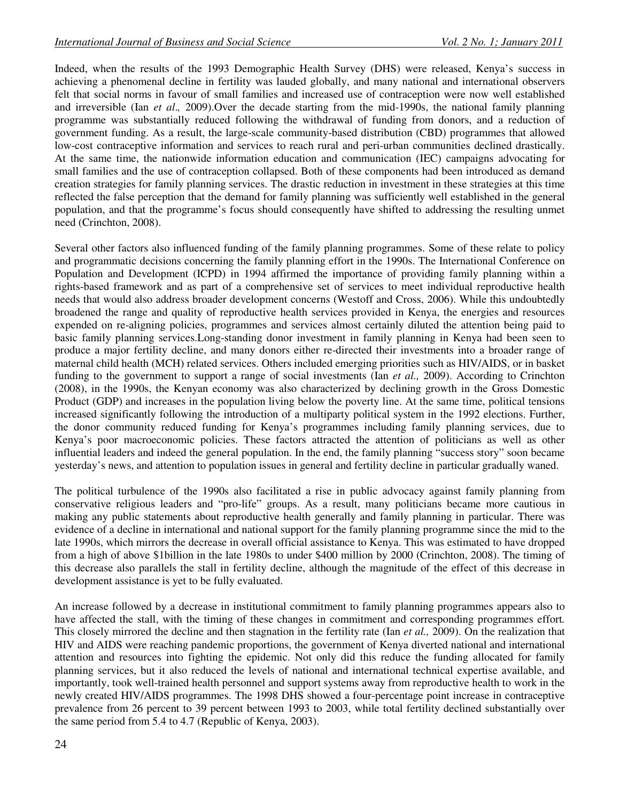Indeed, when the results of the 1993 Demographic Health Survey (DHS) were released, Kenya's success in achieving a phenomenal decline in fertility was lauded globally, and many national and international observers felt that social norms in favour of small families and increased use of contraception were now well established and irreversible (Ian *et al*.*,* 2009).Over the decade starting from the mid-1990s, the national family planning programme was substantially reduced following the withdrawal of funding from donors, and a reduction of government funding. As a result, the large-scale community-based distribution (CBD) programmes that allowed low-cost contraceptive information and services to reach rural and peri-urban communities declined drastically. At the same time, the nationwide information education and communication (IEC) campaigns advocating for small families and the use of contraception collapsed. Both of these components had been introduced as demand creation strategies for family planning services. The drastic reduction in investment in these strategies at this time reflected the false perception that the demand for family planning was sufficiently well established in the general population, and that the programme's focus should consequently have shifted to addressing the resulting unmet need (Crinchton, 2008).

Several other factors also influenced funding of the family planning programmes. Some of these relate to policy and programmatic decisions concerning the family planning effort in the 1990s. The International Conference on Population and Development (ICPD) in 1994 affirmed the importance of providing family planning within a rights-based framework and as part of a comprehensive set of services to meet individual reproductive health needs that would also address broader development concerns (Westoff and Cross, 2006). While this undoubtedly broadened the range and quality of reproductive health services provided in Kenya, the energies and resources expended on re-aligning policies, programmes and services almost certainly diluted the attention being paid to basic family planning services.Long-standing donor investment in family planning in Kenya had been seen to produce a major fertility decline, and many donors either re-directed their investments into a broader range of maternal child health (MCH) related services. Others included emerging priorities such as HIV/AIDS, or in basket funding to the government to support a range of social investments (Ian *et al.,* 2009). According to Crinchton (2008), in the 1990s, the Kenyan economy was also characterized by declining growth in the Gross Domestic Product (GDP) and increases in the population living below the poverty line. At the same time, political tensions increased significantly following the introduction of a multiparty political system in the 1992 elections. Further, the donor community reduced funding for Kenya's programmes including family planning services, due to Kenya's poor macroeconomic policies. These factors attracted the attention of politicians as well as other influential leaders and indeed the general population. In the end, the family planning "success story" soon became yesterday's news, and attention to population issues in general and fertility decline in particular gradually waned.

The political turbulence of the 1990s also facilitated a rise in public advocacy against family planning from conservative religious leaders and "pro-life" groups. As a result, many politicians became more cautious in making any public statements about reproductive health generally and family planning in particular. There was evidence of a decline in international and national support for the family planning programme since the mid to the late 1990s, which mirrors the decrease in overall official assistance to Kenya. This was estimated to have dropped from a high of above \$1billion in the late 1980s to under \$400 million by 2000 (Crinchton, 2008). The timing of this decrease also parallels the stall in fertility decline, although the magnitude of the effect of this decrease in development assistance is yet to be fully evaluated.

An increase followed by a decrease in institutional commitment to family planning programmes appears also to have affected the stall, with the timing of these changes in commitment and corresponding programmes effort*.* This closely mirrored the decline and then stagnation in the fertility rate (Ian *et al.,* 2009). On the realization that HIV and AIDS were reaching pandemic proportions, the government of Kenya diverted national and international attention and resources into fighting the epidemic. Not only did this reduce the funding allocated for family planning services, but it also reduced the levels of national and international technical expertise available, and importantly, took well-trained health personnel and support systems away from reproductive health to work in the newly created HIV/AIDS programmes. The 1998 DHS showed a four-percentage point increase in contraceptive prevalence from 26 percent to 39 percent between 1993 to 2003, while total fertility declined substantially over the same period from 5.4 to 4.7 (Republic of Kenya, 2003).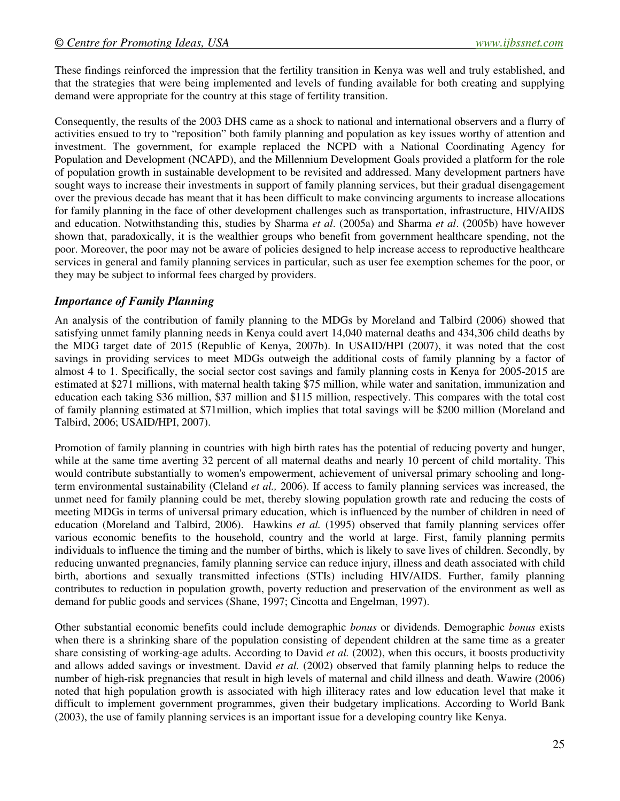These findings reinforced the impression that the fertility transition in Kenya was well and truly established, and that the strategies that were being implemented and levels of funding available for both creating and supplying demand were appropriate for the country at this stage of fertility transition.

Consequently, the results of the 2003 DHS came as a shock to national and international observers and a flurry of activities ensued to try to "reposition" both family planning and population as key issues worthy of attention and investment. The government, for example replaced the NCPD with a National Coordinating Agency for Population and Development (NCAPD), and the Millennium Development Goals provided a platform for the role of population growth in sustainable development to be revisited and addressed. Many development partners have sought ways to increase their investments in support of family planning services, but their gradual disengagement over the previous decade has meant that it has been difficult to make convincing arguments to increase allocations for family planning in the face of other development challenges such as transportation, infrastructure, HIV/AIDS and education. Notwithstanding this, studies by Sharma *et al*. (2005a) and Sharma *et al*. (2005b) have however shown that, paradoxically, it is the wealthier groups who benefit from government healthcare spending, not the poor. Moreover, the poor may not be aware of policies designed to help increase access to reproductive healthcare services in general and family planning services in particular, such as user fee exemption schemes for the poor, or they may be subject to informal fees charged by providers.

## *Importance of Family Planning*

An analysis of the contribution of family planning to the MDGs by Moreland and Talbird (2006) showed that satisfying unmet family planning needs in Kenya could avert 14,040 maternal deaths and 434,306 child deaths by the MDG target date of 2015 (Republic of Kenya, 2007b). In USAID/HPI (2007), it was noted that the cost savings in providing services to meet MDGs outweigh the additional costs of family planning by a factor of almost 4 to 1. Specifically, the social sector cost savings and family planning costs in Kenya for 2005-2015 are estimated at \$271 millions, with maternal health taking \$75 million, while water and sanitation, immunization and education each taking \$36 million, \$37 million and \$115 million, respectively. This compares with the total cost of family planning estimated at \$71million, which implies that total savings will be \$200 million (Moreland and Talbird, 2006; USAID/HPI, 2007).

Promotion of family planning in countries with high birth rates has the potential of reducing poverty and hunger, while at the same time averting 32 percent of all maternal deaths and nearly 10 percent of child mortality. This would contribute substantially to women's empowerment, achievement of universal primary schooling and longterm environmental sustainability (Cleland *et al.,* 2006). If access to family planning services was increased, the unmet need for family planning could be met, thereby slowing population growth rate and reducing the costs of meeting MDGs in terms of universal primary education, which is influenced by the number of children in need of education (Moreland and Talbird, 2006). Hawkins *et al.* (1995) observed that family planning services offer various economic benefits to the household, country and the world at large. First, family planning permits individuals to influence the timing and the number of births, which is likely to save lives of children. Secondly, by reducing unwanted pregnancies, family planning service can reduce injury, illness and death associated with child birth, abortions and sexually transmitted infections (STIs) including HIV/AIDS. Further, family planning contributes to reduction in population growth, poverty reduction and preservation of the environment as well as demand for public goods and services (Shane, 1997; Cincotta and Engelman, 1997).

Other substantial economic benefits could include demographic *bonus* or dividends. Demographic *bonus* exists when there is a shrinking share of the population consisting of dependent children at the same time as a greater share consisting of working-age adults. According to David *et al.* (2002), when this occurs, it boosts productivity and allows added savings or investment. David *et al.* (2002) observed that family planning helps to reduce the number of high-risk pregnancies that result in high levels of maternal and child illness and death. Wawire (2006) noted that high population growth is associated with high illiteracy rates and low education level that make it difficult to implement government programmes, given their budgetary implications. According to World Bank (2003), the use of family planning services is an important issue for a developing country like Kenya.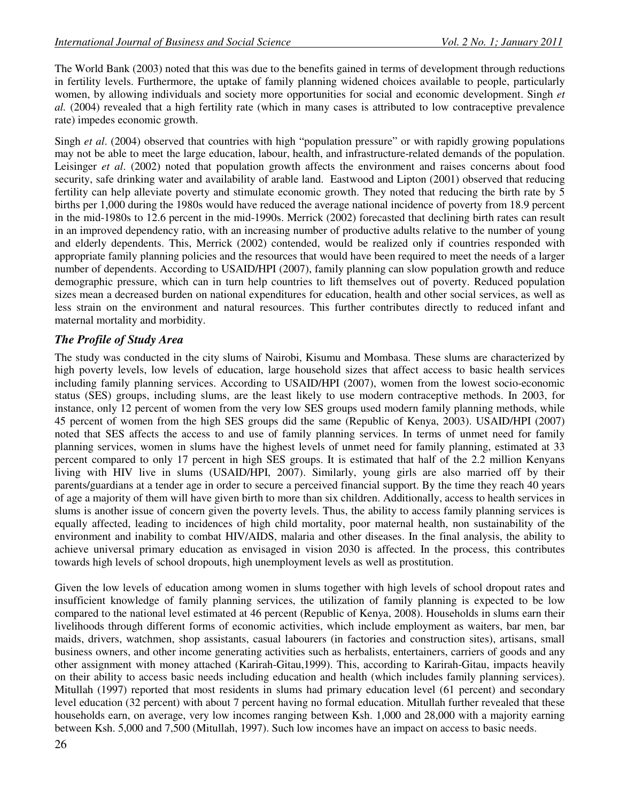The World Bank (2003) noted that this was due to the benefits gained in terms of development through reductions in fertility levels. Furthermore, the uptake of family planning widened choices available to people, particularly women, by allowing individuals and society more opportunities for social and economic development. Singh *et al.* (2004) revealed that a high fertility rate (which in many cases is attributed to low contraceptive prevalence rate) impedes economic growth.

Singh *et al*. (2004) observed that countries with high "population pressure" or with rapidly growing populations may not be able to meet the large education, labour, health, and infrastructure-related demands of the population. Leisinger *et al*. (2002) noted that population growth affects the environment and raises concerns about food security, safe drinking water and availability of arable land. Eastwood and Lipton (2001) observed that reducing fertility can help alleviate poverty and stimulate economic growth. They noted that reducing the birth rate by 5 births per 1,000 during the 1980s would have reduced the average national incidence of poverty from 18.9 percent in the mid-1980s to 12.6 percent in the mid-1990s. Merrick (2002) forecasted that declining birth rates can result in an improved dependency ratio, with an increasing number of productive adults relative to the number of young and elderly dependents. This, Merrick (2002) contended, would be realized only if countries responded with appropriate family planning policies and the resources that would have been required to meet the needs of a larger number of dependents. According to USAID/HPI (2007), family planning can slow population growth and reduce demographic pressure, which can in turn help countries to lift themselves out of poverty. Reduced population sizes mean a decreased burden on national expenditures for education, health and other social services, as well as less strain on the environment and natural resources. This further contributes directly to reduced infant and maternal mortality and morbidity.

# *The Profile of Study Area*

The study was conducted in the city slums of Nairobi, Kisumu and Mombasa. These slums are characterized by high poverty levels, low levels of education, large household sizes that affect access to basic health services including family planning services. According to USAID/HPI (2007), women from the lowest socio-economic status (SES) groups, including slums, are the least likely to use modern contraceptive methods. In 2003, for instance, only 12 percent of women from the very low SES groups used modern family planning methods, while 45 percent of women from the high SES groups did the same (Republic of Kenya, 2003). USAID/HPI (2007) noted that SES affects the access to and use of family planning services. In terms of unmet need for family planning services, women in slums have the highest levels of unmet need for family planning, estimated at 33 percent compared to only 17 percent in high SES groups. It is estimated that half of the 2.2 million Kenyans living with HIV live in slums (USAID/HPI, 2007). Similarly, young girls are also married off by their parents/guardians at a tender age in order to secure a perceived financial support. By the time they reach 40 years of age a majority of them will have given birth to more than six children. Additionally, access to health services in slums is another issue of concern given the poverty levels. Thus, the ability to access family planning services is equally affected, leading to incidences of high child mortality, poor maternal health, non sustainability of the environment and inability to combat HIV/AIDS, malaria and other diseases. In the final analysis, the ability to achieve universal primary education as envisaged in vision 2030 is affected. In the process, this contributes towards high levels of school dropouts, high unemployment levels as well as prostitution.

Given the low levels of education among women in slums together with high levels of school dropout rates and insufficient knowledge of family planning services, the utilization of family planning is expected to be low compared to the national level estimated at 46 percent (Republic of Kenya, 2008). Households in slums earn their livelihoods through different forms of economic activities, which include employment as waiters, bar men, bar maids, drivers, watchmen, shop assistants, casual labourers (in factories and construction sites), artisans, small business owners, and other income generating activities such as herbalists, entertainers, carriers of goods and any other assignment with money attached (Karirah-Gitau,1999). This, according to Karirah-Gitau, impacts heavily on their ability to access basic needs including education and health (which includes family planning services). Mitullah (1997) reported that most residents in slums had primary education level (61 percent) and secondary level education (32 percent) with about 7 percent having no formal education. Mitullah further revealed that these households earn, on average, very low incomes ranging between Ksh. 1,000 and 28,000 with a majority earning between Ksh. 5,000 and 7,500 (Mitullah, 1997). Such low incomes have an impact on access to basic needs.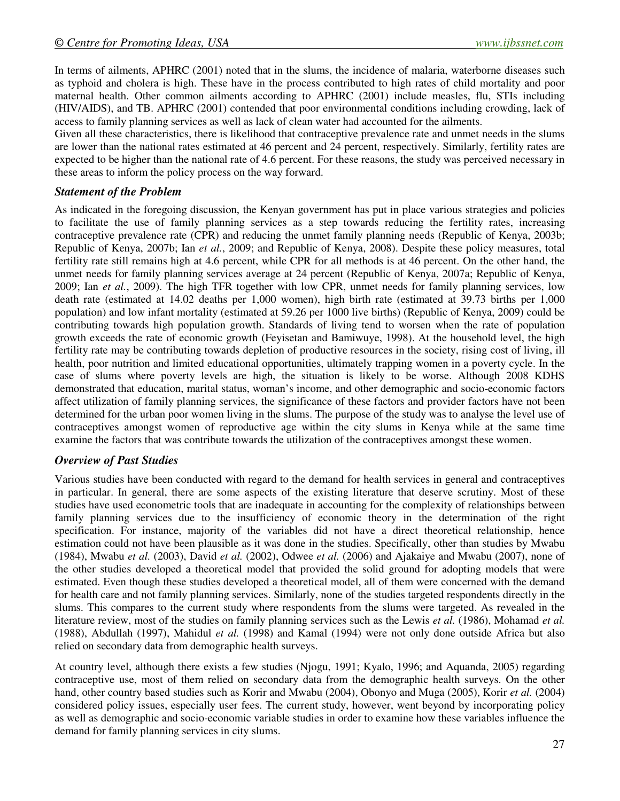In terms of ailments, APHRC (2001) noted that in the slums, the incidence of malaria, waterborne diseases such as typhoid and cholera is high. These have in the process contributed to high rates of child mortality and poor maternal health. Other common ailments according to APHRC (2001) include measles, flu, STIs including (HIV/AIDS), and TB. APHRC (2001) contended that poor environmental conditions including crowding, lack of access to family planning services as well as lack of clean water had accounted for the ailments.

Given all these characteristics, there is likelihood that contraceptive prevalence rate and unmet needs in the slums are lower than the national rates estimated at 46 percent and 24 percent, respectively. Similarly, fertility rates are expected to be higher than the national rate of 4.6 percent. For these reasons, the study was perceived necessary in these areas to inform the policy process on the way forward.

## *Statement of the Problem*

As indicated in the foregoing discussion, the Kenyan government has put in place various strategies and policies to facilitate the use of family planning services as a step towards reducing the fertility rates, increasing contraceptive prevalence rate (CPR) and reducing the unmet family planning needs (Republic of Kenya, 2003b; Republic of Kenya, 2007b; Ian *et al.*, 2009; and Republic of Kenya, 2008). Despite these policy measures, total fertility rate still remains high at 4.6 percent, while CPR for all methods is at 46 percent. On the other hand, the unmet needs for family planning services average at 24 percent (Republic of Kenya, 2007a; Republic of Kenya, 2009; Ian *et al.*, 2009). The high TFR together with low CPR, unmet needs for family planning services, low death rate (estimated at 14.02 deaths per 1,000 women), high birth rate (estimated at 39.73 births per 1,000 population) and low infant mortality (estimated at 59.26 per 1000 live births) (Republic of Kenya, 2009) could be contributing towards high population growth. Standards of living tend to worsen when the rate of population growth exceeds the rate of economic growth (Feyisetan and Bamiwuye, 1998). At the household level, the high fertility rate may be contributing towards depletion of productive resources in the society, rising cost of living, ill health, poor nutrition and limited educational opportunities, ultimately trapping women in a poverty cycle. In the case of slums where poverty levels are high, the situation is likely to be worse. Although 2008 KDHS demonstrated that education, marital status, woman's income, and other demographic and socio-economic factors affect utilization of family planning services, the significance of these factors and provider factors have not been determined for the urban poor women living in the slums. The purpose of the study was to analyse the level use of contraceptives amongst women of reproductive age within the city slums in Kenya while at the same time examine the factors that was contribute towards the utilization of the contraceptives amongst these women.

# *Overview of Past Studies*

Various studies have been conducted with regard to the demand for health services in general and contraceptives in particular. In general, there are some aspects of the existing literature that deserve scrutiny. Most of these studies have used econometric tools that are inadequate in accounting for the complexity of relationships between family planning services due to the insufficiency of economic theory in the determination of the right specification. For instance, majority of the variables did not have a direct theoretical relationship, hence estimation could not have been plausible as it was done in the studies. Specifically, other than studies by Mwabu (1984), Mwabu *et al.* (2003), David *et al.* (2002), Odwee *et al.* (2006) and Ajakaiye and Mwabu (2007), none of the other studies developed a theoretical model that provided the solid ground for adopting models that were estimated. Even though these studies developed a theoretical model, all of them were concerned with the demand for health care and not family planning services. Similarly, none of the studies targeted respondents directly in the slums. This compares to the current study where respondents from the slums were targeted. As revealed in the literature review, most of the studies on family planning services such as the Lewis *et al.* (1986), Mohamad *et al.*  (1988), Abdullah (1997), Mahidul *et al.* (1998) and Kamal (1994) were not only done outside Africa but also relied on secondary data from demographic health surveys.

At country level, although there exists a few studies (Njogu, 1991; Kyalo, 1996; and Aquanda, 2005) regarding contraceptive use, most of them relied on secondary data from the demographic health surveys. On the other hand, other country based studies such as Korir and Mwabu (2004), Obonyo and Muga (2005), Korir *et al.* (2004) considered policy issues, especially user fees. The current study, however, went beyond by incorporating policy as well as demographic and socio-economic variable studies in order to examine how these variables influence the demand for family planning services in city slums.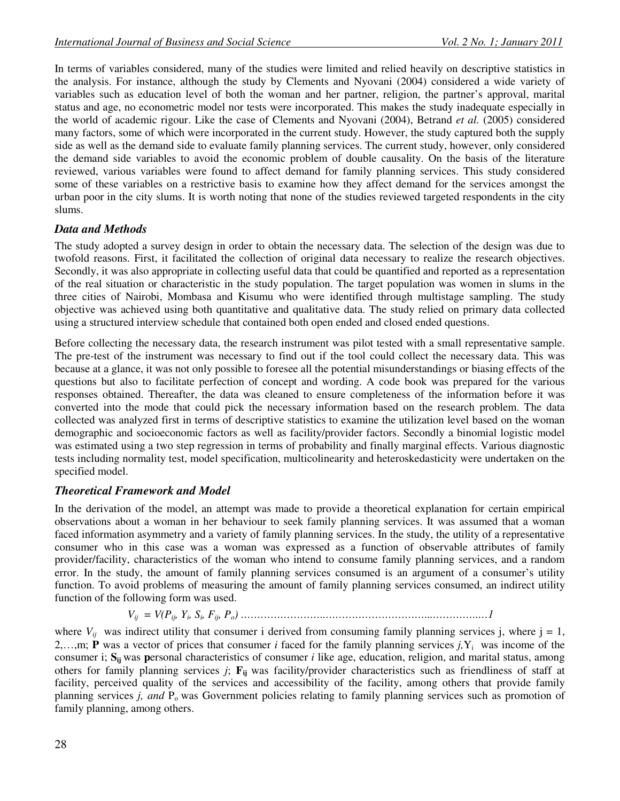In terms of variables considered, many of the studies were limited and relied heavily on descriptive statistics in the analysis. For instance, although the study by Clements and Nyovani (2004) considered a wide variety of variables such as education level of both the woman and her partner, religion, the partner's approval, marital status and age, no econometric model nor tests were incorporated. This makes the study inadequate especially in the world of academic rigour. Like the case of Clements and Nyovani (2004), Betrand *et al.* (2005) considered many factors, some of which were incorporated in the current study. However, the study captured both the supply side as well as the demand side to evaluate family planning services. The current study, however, only considered the demand side variables to avoid the economic problem of double causality. On the basis of the literature reviewed, various variables were found to affect demand for family planning services. This study considered some of these variables on a restrictive basis to examine how they affect demand for the services amongst the urban poor in the city slums. It is worth noting that none of the studies reviewed targeted respondents in the city slums.

# *Data and Methods*

The study adopted a survey design in order to obtain the necessary data. The selection of the design was due to twofold reasons. First, it facilitated the collection of original data necessary to realize the research objectives. Secondly, it was also appropriate in collecting useful data that could be quantified and reported as a representation of the real situation or characteristic in the study population. The target population was women in slums in the three cities of Nairobi, Mombasa and Kisumu who were identified through multistage sampling. The study objective was achieved using both quantitative and qualitative data. The study relied on primary data collected using a structured interview schedule that contained both open ended and closed ended questions.

Before collecting the necessary data, the research instrument was pilot tested with a small representative sample. The pre-test of the instrument was necessary to find out if the tool could collect the necessary data. This was because at a glance, it was not only possible to foresee all the potential misunderstandings or biasing effects of the questions but also to facilitate perfection of concept and wording. A code book was prepared for the various responses obtained. Thereafter, the data was cleaned to ensure completeness of the information before it was converted into the mode that could pick the necessary information based on the research problem. The data collected was analyzed first in terms of descriptive statistics to examine the utilization level based on the woman demographic and socioeconomic factors as well as facility/provider factors. Secondly a binomial logistic model was estimated using a two step regression in terms of probability and finally marginal effects. Various diagnostic tests including normality test, model specification, multicolinearity and heteroskedasticity were undertaken on the specified model.

# *Theoretical Framework and Model*

In the derivation of the model, an attempt was made to provide a theoretical explanation for certain empirical observations about a woman in her behaviour to seek family planning services. It was assumed that a woman faced information asymmetry and a variety of family planning services. In the study, the utility of a representative consumer who in this case was a woman was expressed as a function of observable attributes of family provider/facility, characteristics of the woman who intend to consume family planning services, and a random error. In the study, the amount of family planning services consumed is an argument of a consumer's utility function. To avoid problems of measuring the amount of family planning services consumed, an indirect utility function of the following form was used.

*Vij = V(Pij, Y<sup>i</sup> , S<sup>i</sup> , Fij, Po) ……………………..…………………………...…………..…1* 

where  $V_{ij}$  was indirect utility that consumer i derived from consuming family planning services j, where  $j = 1$ , 2,...,m; **P** was a vector of prices that consumer *i* faced for the family planning services  $j$ ,  $Y_i$  was income of the consumer i; **Sij** was **p**ersonal characteristics of consumer *i* like age, education, religion, and marital status, among others for family planning services *j*; **Fij** was facility/provider characteristics such as friendliness of staff at facility, perceived quality of the services and accessibility of the facility, among others that provide family planning services *j, and* P<sub>o</sub> was Government policies relating to family planning services such as promotion of family planning, among others.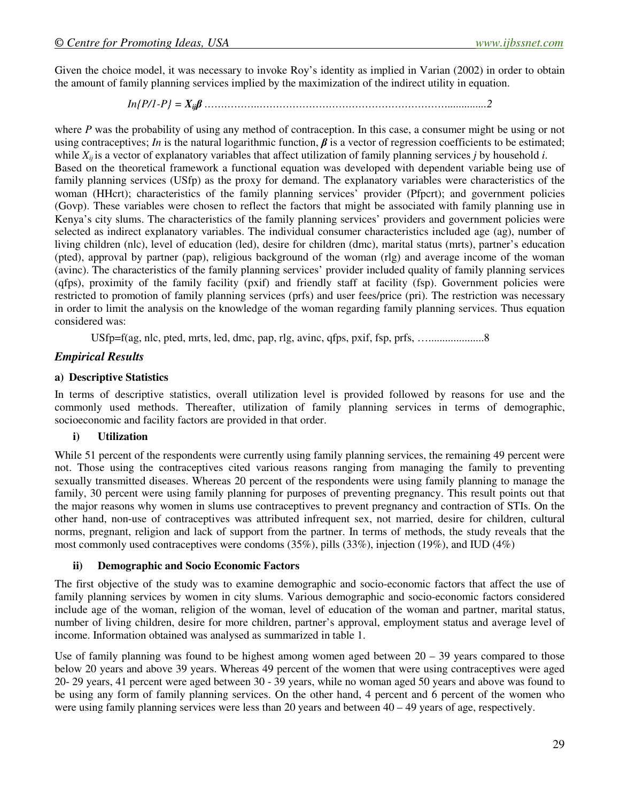Given the choice model, it was necessary to invoke Roy's identity as implied in Varian (2002) in order to obtain the amount of family planning services implied by the maximization of the indirect utility in equation.

*In{P/1-P} = Xij*β *……………..…………………………………………………..............2* 

where *P* was the probability of using any method of contraception. In this case, a consumer might be using or not using contraceptives; *In* is the natural logarithmic function,  $\beta$  is a vector of regression coefficients to be estimated; while *Xij* is a vector of explanatory variables that affect utilization of family planning services *j* by household *i*. Based on the theoretical framework a functional equation was developed with dependent variable being use of family planning services (USfp) as the proxy for demand. The explanatory variables were characteristics of the woman (HHcrt); characteristics of the family planning services' provider (Pfpcrt); and government policies (Govp). These variables were chosen to reflect the factors that might be associated with family planning use in Kenya's city slums. The characteristics of the family planning services' providers and government policies were selected as indirect explanatory variables. The individual consumer characteristics included age (ag), number of living children (nlc), level of education (led), desire for children (dmc), marital status (mrts), partner's education (pted), approval by partner (pap), religious background of the woman (rlg) and average income of the woman (avinc). The characteristics of the family planning services' provider included quality of family planning services (qfps), proximity of the family facility (pxif) and friendly staff at facility (fsp). Government policies were restricted to promotion of family planning services (prfs) and user fees/price (pri). The restriction was necessary in order to limit the analysis on the knowledge of the woman regarding family planning services. Thus equation considered was:

USfp=f(ag, nlc, pted, mrts, led, dmc, pap, rlg, avinc, qfps, pxif, fsp, prfs, …....................8

## *Empirical Results*

#### **a) Descriptive Statistics**

In terms of descriptive statistics, overall utilization level is provided followed by reasons for use and the commonly used methods. Thereafter, utilization of family planning services in terms of demographic, socioeconomic and facility factors are provided in that order.

### **i) Utilization**

While 51 percent of the respondents were currently using family planning services, the remaining 49 percent were not. Those using the contraceptives cited various reasons ranging from managing the family to preventing sexually transmitted diseases. Whereas 20 percent of the respondents were using family planning to manage the family, 30 percent were using family planning for purposes of preventing pregnancy. This result points out that the major reasons why women in slums use contraceptives to prevent pregnancy and contraction of STIs. On the other hand, non-use of contraceptives was attributed infrequent sex, not married, desire for children, cultural norms, pregnant, religion and lack of support from the partner. In terms of methods, the study reveals that the most commonly used contraceptives were condoms  $(35\%)$ , pills  $(33\%)$ , injection  $(19\%)$ , and IUD  $(4\%)$ 

#### **ii) Demographic and Socio Economic Factors**

The first objective of the study was to examine demographic and socio-economic factors that affect the use of family planning services by women in city slums. Various demographic and socio-economic factors considered include age of the woman, religion of the woman, level of education of the woman and partner, marital status, number of living children, desire for more children, partner's approval, employment status and average level of income. Information obtained was analysed as summarized in table 1.

Use of family planning was found to be highest among women aged between  $20 - 39$  years compared to those below 20 years and above 39 years. Whereas 49 percent of the women that were using contraceptives were aged 20- 29 years, 41 percent were aged between 30 - 39 years, while no woman aged 50 years and above was found to be using any form of family planning services. On the other hand, 4 percent and 6 percent of the women who were using family planning services were less than 20 years and between  $40 - 49$  years of age, respectively.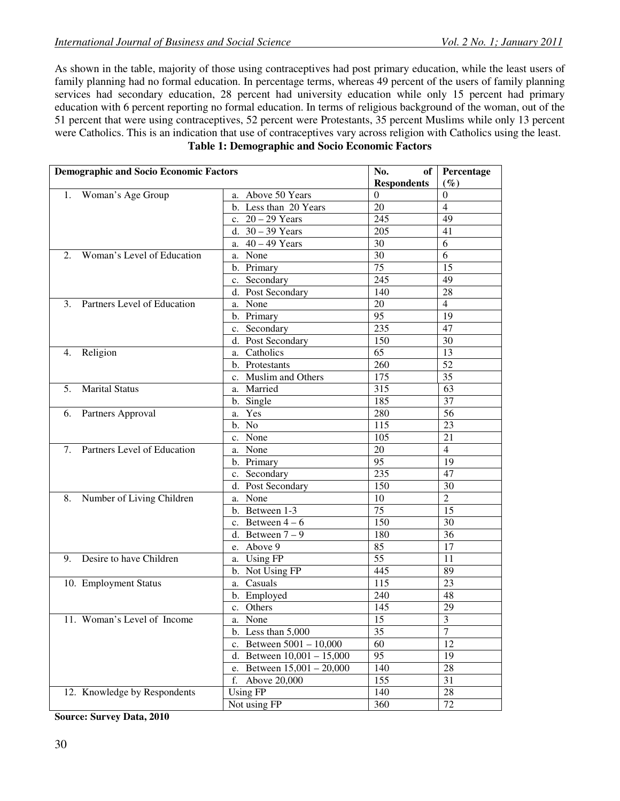As shown in the table, majority of those using contraceptives had post primary education, while the least users of family planning had no formal education. In percentage terms, whereas 49 percent of the users of family planning services had secondary education, 28 percent had university education while only 15 percent had primary education with 6 percent reporting no formal education. In terms of religious background of the woman, out of the 51 percent that were using contraceptives, 52 percent were Protestants, 35 percent Muslims while only 13 percent were Catholics. This is an indication that use of contraceptives vary across religion with Catholics using the least. **Table 1: Demographic and Socio Economic Factors** 

| <b>Demographic and Socio Economic Factors</b> |                              | No.<br>of <sub>1</sub> | Percentage              |
|-----------------------------------------------|------------------------------|------------------------|-------------------------|
|                                               |                              | <b>Respondents</b>     | $(\%)$                  |
| 1. Woman's Age Group                          | a. Above 50 Years            | $\Omega$               | $\boldsymbol{0}$        |
|                                               | b. Less than 20 Years        | 20                     | $\overline{4}$          |
|                                               | c. $20 - 29$ Years           | 245                    | 49                      |
|                                               | d. $30 - 39$ Years           | 205                    | 41                      |
|                                               | a. $40 - 49$ Years           | 30                     | 6                       |
| Woman's Level of Education<br>2.              | a. None                      | 30                     | 6                       |
|                                               | b. Primary                   | 75                     | 15                      |
|                                               | c. Secondary                 | 245                    | 49                      |
|                                               | d. Post Secondary            | 140                    | 28                      |
| 3. Partners Level of Education                | a. None                      | 20                     | $\overline{4}$          |
|                                               | b. Primary                   | 95                     | 19                      |
|                                               | c. Secondary                 | 235                    | 47                      |
|                                               | d. Post Secondary            | 150                    | 30                      |
| 4. Religion                                   | a. Catholics                 | 65                     | 13                      |
|                                               | b. Protestants               | 260                    | $\overline{52}$         |
|                                               | c. Muslim and Others         | 175                    | 35                      |
| <b>Marital Status</b><br>5.                   | a. Married                   | 315                    | 63                      |
|                                               | b. Single                    | 185                    | 37                      |
| 6. Partners Approval                          | a. Yes                       | 280                    | 56                      |
|                                               | b. No                        | 115                    | 23                      |
|                                               | c. None                      | 105                    | 21                      |
| 7. Partners Level of Education                | a. None                      | $20\,$                 | $\overline{4}$          |
|                                               | b. Primary                   | 95                     | 19                      |
|                                               | c. Secondary                 | 235                    | 47                      |
|                                               | d. Post Secondary            | 150                    | 30                      |
| 8. Number of Living Children                  | a. None                      | 10                     | $\overline{2}$          |
|                                               | b. Between 1-3               | 75                     | 15                      |
|                                               | c. Between $4-6$             | 150                    | 30                      |
|                                               | d. Between $7-9$             | 180                    | 36                      |
|                                               | e. Above 9                   | 85                     | 17                      |
| 9. Desire to have Children                    | a. Using FP                  | $\overline{55}$        | 11                      |
|                                               | b. Not Using FP              | 445                    | 89                      |
| 10. Employment Status                         | a. Casuals                   | 115                    | 23                      |
|                                               | b. Employed                  | 240                    | 48                      |
|                                               | c. Others                    | 145                    | 29                      |
| 11. Woman's Level of Income                   | a. None                      | $\overline{15}$        | $\overline{\mathbf{3}}$ |
|                                               | b. Less than $5,000$         | 35                     | $\overline{7}$          |
|                                               | c. Between $5001 - 10,000$   | 60                     | 12                      |
|                                               | d. Between $10,001 - 15,000$ | 95                     | 19                      |
|                                               | e. Between $15,001 - 20,000$ | 140                    | $28\,$                  |
|                                               | Above 20,000<br>f.           | 155                    | 31                      |
| 12. Knowledge by Respondents                  | <b>Using FP</b>              | 140                    | $28\,$                  |
|                                               | Not using FP                 | 360                    | 72                      |

**Source: Survey Data, 2010**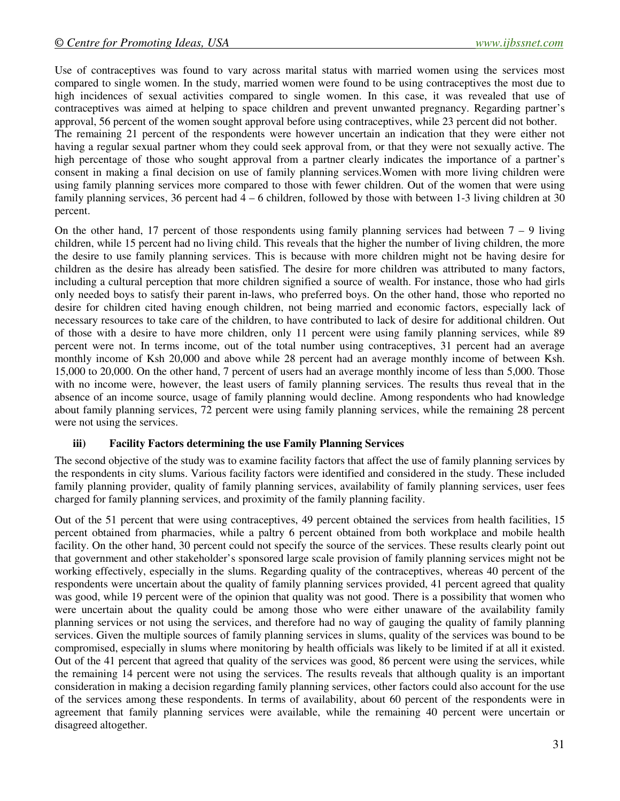Use of contraceptives was found to vary across marital status with married women using the services most compared to single women. In the study, married women were found to be using contraceptives the most due to high incidences of sexual activities compared to single women. In this case, it was revealed that use of contraceptives was aimed at helping to space children and prevent unwanted pregnancy. Regarding partner's approval, 56 percent of the women sought approval before using contraceptives, while 23 percent did not bother. The remaining 21 percent of the respondents were however uncertain an indication that they were either not having a regular sexual partner whom they could seek approval from, or that they were not sexually active. The high percentage of those who sought approval from a partner clearly indicates the importance of a partner's consent in making a final decision on use of family planning services.Women with more living children were using family planning services more compared to those with fewer children. Out of the women that were using family planning services, 36 percent had 4 – 6 children, followed by those with between 1-3 living children at 30 percent.

On the other hand, 17 percent of those respondents using family planning services had between  $7 - 9$  living children, while 15 percent had no living child. This reveals that the higher the number of living children, the more the desire to use family planning services. This is because with more children might not be having desire for children as the desire has already been satisfied. The desire for more children was attributed to many factors, including a cultural perception that more children signified a source of wealth. For instance, those who had girls only needed boys to satisfy their parent in-laws, who preferred boys. On the other hand, those who reported no desire for children cited having enough children, not being married and economic factors, especially lack of necessary resources to take care of the children, to have contributed to lack of desire for additional children. Out of those with a desire to have more children, only 11 percent were using family planning services, while 89 percent were not. In terms income, out of the total number using contraceptives, 31 percent had an average monthly income of Ksh 20,000 and above while 28 percent had an average monthly income of between Ksh. 15,000 to 20,000. On the other hand, 7 percent of users had an average monthly income of less than 5,000. Those with no income were, however, the least users of family planning services. The results thus reveal that in the absence of an income source, usage of family planning would decline. Among respondents who had knowledge about family planning services, 72 percent were using family planning services, while the remaining 28 percent were not using the services.

#### **iii) Facility Factors determining the use Family Planning Services**

The second objective of the study was to examine facility factors that affect the use of family planning services by the respondents in city slums. Various facility factors were identified and considered in the study. These included family planning provider, quality of family planning services, availability of family planning services, user fees charged for family planning services, and proximity of the family planning facility.

Out of the 51 percent that were using contraceptives, 49 percent obtained the services from health facilities, 15 percent obtained from pharmacies, while a paltry 6 percent obtained from both workplace and mobile health facility. On the other hand, 30 percent could not specify the source of the services. These results clearly point out that government and other stakeholder's sponsored large scale provision of family planning services might not be working effectively, especially in the slums. Regarding quality of the contraceptives, whereas 40 percent of the respondents were uncertain about the quality of family planning services provided, 41 percent agreed that quality was good, while 19 percent were of the opinion that quality was not good. There is a possibility that women who were uncertain about the quality could be among those who were either unaware of the availability family planning services or not using the services, and therefore had no way of gauging the quality of family planning services. Given the multiple sources of family planning services in slums, quality of the services was bound to be compromised, especially in slums where monitoring by health officials was likely to be limited if at all it existed. Out of the 41 percent that agreed that quality of the services was good, 86 percent were using the services, while the remaining 14 percent were not using the services. The results reveals that although quality is an important consideration in making a decision regarding family planning services, other factors could also account for the use of the services among these respondents. In terms of availability, about 60 percent of the respondents were in agreement that family planning services were available, while the remaining 40 percent were uncertain or disagreed altogether.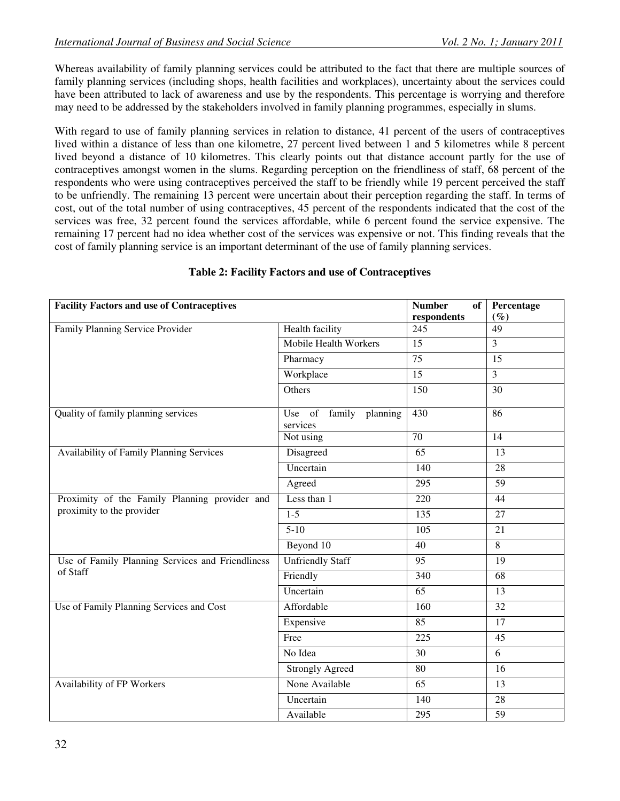Whereas availability of family planning services could be attributed to the fact that there are multiple sources of family planning services (including shops, health facilities and workplaces), uncertainty about the services could have been attributed to lack of awareness and use by the respondents. This percentage is worrying and therefore may need to be addressed by the stakeholders involved in family planning programmes, especially in slums.

With regard to use of family planning services in relation to distance, 41 percent of the users of contraceptives lived within a distance of less than one kilometre, 27 percent lived between 1 and 5 kilometres while 8 percent lived beyond a distance of 10 kilometres. This clearly points out that distance account partly for the use of contraceptives amongst women in the slums. Regarding perception on the friendliness of staff, 68 percent of the respondents who were using contraceptives perceived the staff to be friendly while 19 percent perceived the staff to be unfriendly. The remaining 13 percent were uncertain about their perception regarding the staff. In terms of cost, out of the total number of using contraceptives, 45 percent of the respondents indicated that the cost of the services was free, 32 percent found the services affordable, while 6 percent found the service expensive. The remaining 17 percent had no idea whether cost of the services was expensive or not. This finding reveals that the cost of family planning service is an important determinant of the use of family planning services.

| <b>Facility Factors and use of Contraceptives</b> |                                    | <b>Number</b><br>of<br>respondents | Percentage<br>$(\%)$ |  |  |  |  |
|---------------------------------------------------|------------------------------------|------------------------------------|----------------------|--|--|--|--|
| Family Planning Service Provider                  | Health facility                    | 245                                | 49                   |  |  |  |  |
|                                                   | Mobile Health Workers              | 15                                 | $\overline{3}$       |  |  |  |  |
|                                                   | Pharmacy                           | 75                                 | $\overline{15}$      |  |  |  |  |
|                                                   | Workplace<br>15                    |                                    |                      |  |  |  |  |
|                                                   | Others                             | 150                                | $\overline{30}$      |  |  |  |  |
| Quality of family planning services               | Use of family planning<br>services | 430                                | 86                   |  |  |  |  |
|                                                   | Not using                          | 70                                 | 14                   |  |  |  |  |
| <b>Availability of Family Planning Services</b>   | Disagreed                          | $\overline{65}$                    | 13                   |  |  |  |  |
|                                                   | Uncertain                          | 140                                | 28                   |  |  |  |  |
|                                                   | Agreed                             | 295                                | 59                   |  |  |  |  |
| Proximity of the Family Planning provider and     | Less than 1                        | 220                                | 44                   |  |  |  |  |
| proximity to the provider                         | $1-5$                              | 135                                | 27                   |  |  |  |  |
|                                                   | $5-10$                             | 105                                | 21                   |  |  |  |  |
|                                                   | Beyond 10                          | $\overline{40}$                    | $\overline{8}$       |  |  |  |  |
| Use of Family Planning Services and Friendliness  | <b>Unfriendly Staff</b>            | 95                                 | 19                   |  |  |  |  |
| of Staff                                          | Friendly                           | 340                                | 68                   |  |  |  |  |
|                                                   | Uncertain                          | 65                                 | 13                   |  |  |  |  |
| Use of Family Planning Services and Cost          | Affordable                         | 160                                | 32                   |  |  |  |  |
|                                                   | Expensive                          | 85                                 | 17                   |  |  |  |  |
|                                                   | Free                               | 225                                | 45                   |  |  |  |  |
|                                                   | No Idea                            | 30                                 | 6                    |  |  |  |  |
|                                                   | <b>Strongly Agreed</b>             | 80                                 | 16                   |  |  |  |  |
| Availability of FP Workers                        | None Available                     | 65                                 | 13                   |  |  |  |  |
|                                                   | Uncertain                          | 140                                | 28                   |  |  |  |  |
|                                                   | Available                          | 295                                | 59                   |  |  |  |  |

### **Table 2: Facility Factors and use of Contraceptives**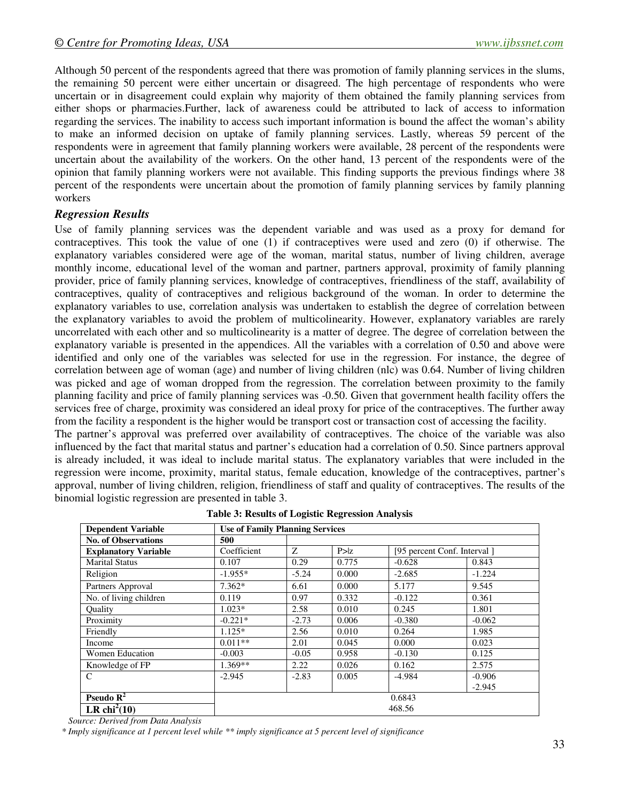Although 50 percent of the respondents agreed that there was promotion of family planning services in the slums, the remaining 50 percent were either uncertain or disagreed. The high percentage of respondents who were uncertain or in disagreement could explain why majority of them obtained the family planning services from either shops or pharmacies.Further, lack of awareness could be attributed to lack of access to information regarding the services. The inability to access such important information is bound the affect the woman's ability to make an informed decision on uptake of family planning services. Lastly, whereas 59 percent of the respondents were in agreement that family planning workers were available, 28 percent of the respondents were uncertain about the availability of the workers. On the other hand, 13 percent of the respondents were of the opinion that family planning workers were not available. This finding supports the previous findings where 38 percent of the respondents were uncertain about the promotion of family planning services by family planning workers

### *Regression Results*

Use of family planning services was the dependent variable and was used as a proxy for demand for contraceptives. This took the value of one (1) if contraceptives were used and zero (0) if otherwise. The explanatory variables considered were age of the woman, marital status, number of living children, average monthly income, educational level of the woman and partner, partners approval, proximity of family planning provider, price of family planning services, knowledge of contraceptives, friendliness of the staff, availability of contraceptives, quality of contraceptives and religious background of the woman. In order to determine the explanatory variables to use, correlation analysis was undertaken to establish the degree of correlation between the explanatory variables to avoid the problem of multicolinearity. However, explanatory variables are rarely uncorrelated with each other and so multicolinearity is a matter of degree. The degree of correlation between the explanatory variable is presented in the appendices. All the variables with a correlation of 0.50 and above were identified and only one of the variables was selected for use in the regression. For instance, the degree of correlation between age of woman (age) and number of living children (nlc) was 0.64. Number of living children was picked and age of woman dropped from the regression. The correlation between proximity to the family planning facility and price of family planning services was -0.50. Given that government health facility offers the services free of charge, proximity was considered an ideal proxy for price of the contraceptives. The further away from the facility a respondent is the higher would be transport cost or transaction cost of accessing the facility. The partner's approval was preferred over availability of contraceptives. The choice of the variable was also

influenced by the fact that marital status and partner's education had a correlation of 0.50. Since partners approval is already included, it was ideal to include marital status. The explanatory variables that were included in the regression were income, proximity, marital status, female education, knowledge of the contraceptives, partner's approval, number of living children, religion, friendliness of staff and quality of contraceptives. The results of the binomial logistic regression are presented in table 3.

| <b>Use of Family Planning Services</b><br><b>Dependent Variable</b> |             |         |       |                             |          |  |  |  |  |
|---------------------------------------------------------------------|-------------|---------|-------|-----------------------------|----------|--|--|--|--|
| <b>No. of Observations</b>                                          | 500         |         |       |                             |          |  |  |  |  |
| <b>Explanatory Variable</b>                                         | Coefficient | Z       | P > z | [95 percent Conf. Interval] |          |  |  |  |  |
| <b>Marital Status</b>                                               | 0.107       | 0.29    | 0.775 | $-0.628$                    | 0.843    |  |  |  |  |
| Religion                                                            | $-1.955*$   | $-5.24$ | 0.000 | $-2.685$                    | $-1.224$ |  |  |  |  |
| Partners Approval                                                   | $7.362*$    | 6.61    | 0.000 | 5.177                       | 9.545    |  |  |  |  |
| No. of living children                                              | 0.119       | 0.97    | 0.332 | $-0.122$                    | 0.361    |  |  |  |  |
| Ouality                                                             | $1.023*$    | 2.58    | 0.010 | 0.245                       | 1.801    |  |  |  |  |
| Proximity                                                           | $-0.221*$   | $-2.73$ | 0.006 | $-0.380$                    | $-0.062$ |  |  |  |  |
| Friendly                                                            | $1.125*$    | 2.56    | 0.010 | 0.264                       | 1.985    |  |  |  |  |
| Income                                                              | $0.011**$   | 2.01    | 0.045 | 0.000                       | 0.023    |  |  |  |  |
| Women Education                                                     | $-0.003$    | $-0.05$ | 0.958 | $-0.130$                    | 0.125    |  |  |  |  |
| Knowledge of FP                                                     | $1.369**$   | 2.22    | 0.026 | 0.162                       | 2.575    |  |  |  |  |
| C                                                                   | $-2.945$    | $-2.83$ | 0.005 | $-4.984$                    | $-0.906$ |  |  |  |  |
|                                                                     |             |         |       |                             | $-2.945$ |  |  |  |  |
| Pseudo $\mathbb{R}^2$                                               | 0.6843      |         |       |                             |          |  |  |  |  |
| LR chi <sup>2</sup> (10)                                            | 468.56      |         |       |                             |          |  |  |  |  |

|  |  |  | Table 3: Results of Logistic Regression Analysis |  |
|--|--|--|--------------------------------------------------|--|
|--|--|--|--------------------------------------------------|--|

 *Source: Derived from Data Analysis* 

 *\* Imply significance at 1 percent level while \*\* imply significance at 5 percent level of significance*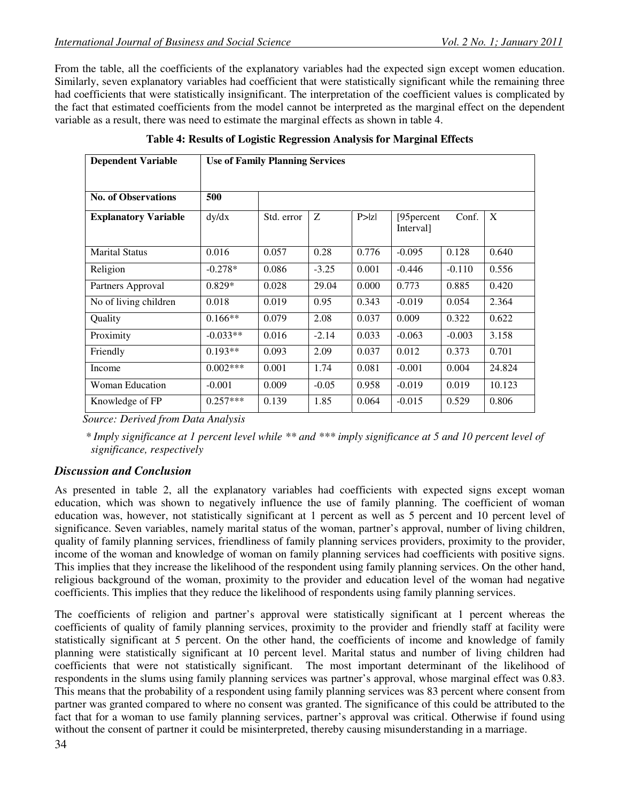From the table, all the coefficients of the explanatory variables had the expected sign except women education. Similarly, seven explanatory variables had coefficient that were statistically significant while the remaining three had coefficients that were statistically insignificant. The interpretation of the coefficient values is complicated by the fact that estimated coefficients from the model cannot be interpreted as the marginal effect on the dependent variable as a result, there was need to estimate the marginal effects as shown in table 4.

| <b>Dependent Variable</b>   | <b>Use of Family Planning Services</b> |            |         |        |                                     |          |        |  |
|-----------------------------|----------------------------------------|------------|---------|--------|-------------------------------------|----------|--------|--|
| <b>No. of Observations</b>  | 500                                    |            |         |        |                                     |          |        |  |
| <b>Explanatory Variable</b> | dy/dx                                  | Std. error | Z       | P >  Z | [95 <sub>percent</sub><br>Interval] | Conf.    | X      |  |
| <b>Marital Status</b>       | 0.016                                  | 0.057      | 0.28    | 0.776  | $-0.095$                            | 0.128    | 0.640  |  |
| Religion                    | $-0.278*$                              | 0.086      | $-3.25$ | 0.001  | $-0.446$                            | $-0.110$ | 0.556  |  |
| Partners Approval           | $0.829*$                               | 0.028      | 29.04   | 0.000  | 0.773                               | 0.885    | 0.420  |  |
| No of living children       | 0.018                                  | 0.019      | 0.95    | 0.343  | $-0.019$                            | 0.054    | 2.364  |  |
| Quality                     | $0.166**$                              | 0.079      | 2.08    | 0.037  | 0.009                               | 0.322    | 0.622  |  |
| Proximity                   | $-0.033**$                             | 0.016      | $-2.14$ | 0.033  | $-0.063$                            | $-0.003$ | 3.158  |  |
| Friendly                    | $0.193**$                              | 0.093      | 2.09    | 0.037  | 0.012                               | 0.373    | 0.701  |  |
| Income                      | $0.002***$                             | 0.001      | 1.74    | 0.081  | $-0.001$                            | 0.004    | 24.824 |  |
| <b>Woman Education</b>      | $-0.001$                               | 0.009      | $-0.05$ | 0.958  | $-0.019$                            | 0.019    | 10.123 |  |
| Knowledge of FP             | $0.257***$                             | 0.139      | 1.85    | 0.064  | $-0.015$                            | 0.529    | 0.806  |  |

**Table 4: Results of Logistic Regression Analysis for Marginal Effects** 

 *Source: Derived from Data Analysis* 

 *\* Imply significance at 1 percent level while \*\* and \*\*\* imply significance at 5 and 10 percent level of significance, respectively* 

# *Discussion and Conclusion*

As presented in table 2, all the explanatory variables had coefficients with expected signs except woman education, which was shown to negatively influence the use of family planning. The coefficient of woman education was, however, not statistically significant at 1 percent as well as 5 percent and 10 percent level of significance. Seven variables, namely marital status of the woman, partner's approval, number of living children, quality of family planning services, friendliness of family planning services providers, proximity to the provider, income of the woman and knowledge of woman on family planning services had coefficients with positive signs. This implies that they increase the likelihood of the respondent using family planning services. On the other hand, religious background of the woman, proximity to the provider and education level of the woman had negative coefficients. This implies that they reduce the likelihood of respondents using family planning services.

The coefficients of religion and partner's approval were statistically significant at 1 percent whereas the coefficients of quality of family planning services, proximity to the provider and friendly staff at facility were statistically significant at 5 percent. On the other hand, the coefficients of income and knowledge of family planning were statistically significant at 10 percent level. Marital status and number of living children had coefficients that were not statistically significant. The most important determinant of the likelihood of respondents in the slums using family planning services was partner's approval, whose marginal effect was 0.83. This means that the probability of a respondent using family planning services was 83 percent where consent from partner was granted compared to where no consent was granted. The significance of this could be attributed to the fact that for a woman to use family planning services, partner's approval was critical. Otherwise if found using without the consent of partner it could be misinterpreted, thereby causing misunderstanding in a marriage.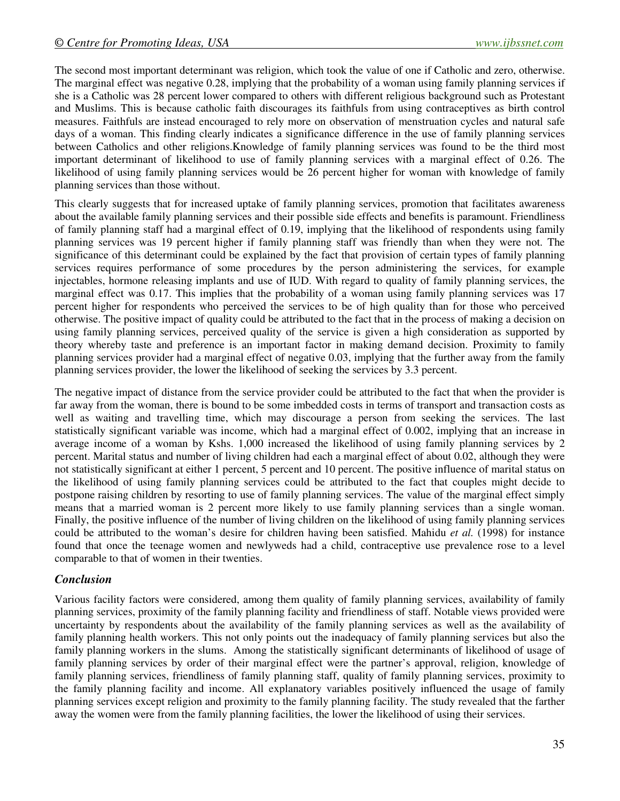The second most important determinant was religion, which took the value of one if Catholic and zero, otherwise. The marginal effect was negative 0.28, implying that the probability of a woman using family planning services if she is a Catholic was 28 percent lower compared to others with different religious background such as Protestant and Muslims. This is because catholic faith discourages its faithfuls from using contraceptives as birth control measures. Faithfuls are instead encouraged to rely more on observation of menstruation cycles and natural safe days of a woman. This finding clearly indicates a significance difference in the use of family planning services between Catholics and other religions.Knowledge of family planning services was found to be the third most important determinant of likelihood to use of family planning services with a marginal effect of 0.26. The likelihood of using family planning services would be 26 percent higher for woman with knowledge of family planning services than those without.

This clearly suggests that for increased uptake of family planning services, promotion that facilitates awareness about the available family planning services and their possible side effects and benefits is paramount. Friendliness of family planning staff had a marginal effect of 0.19, implying that the likelihood of respondents using family planning services was 19 percent higher if family planning staff was friendly than when they were not. The significance of this determinant could be explained by the fact that provision of certain types of family planning services requires performance of some procedures by the person administering the services, for example injectables, hormone releasing implants and use of IUD. With regard to quality of family planning services, the marginal effect was 0.17. This implies that the probability of a woman using family planning services was 17 percent higher for respondents who perceived the services to be of high quality than for those who perceived otherwise. The positive impact of quality could be attributed to the fact that in the process of making a decision on using family planning services, perceived quality of the service is given a high consideration as supported by theory whereby taste and preference is an important factor in making demand decision. Proximity to family planning services provider had a marginal effect of negative 0.03, implying that the further away from the family planning services provider, the lower the likelihood of seeking the services by 3.3 percent.

The negative impact of distance from the service provider could be attributed to the fact that when the provider is far away from the woman, there is bound to be some imbedded costs in terms of transport and transaction costs as well as waiting and travelling time, which may discourage a person from seeking the services. The last statistically significant variable was income, which had a marginal effect of 0.002, implying that an increase in average income of a woman by Kshs. 1,000 increased the likelihood of using family planning services by 2 percent. Marital status and number of living children had each a marginal effect of about 0.02, although they were not statistically significant at either 1 percent, 5 percent and 10 percent. The positive influence of marital status on the likelihood of using family planning services could be attributed to the fact that couples might decide to postpone raising children by resorting to use of family planning services. The value of the marginal effect simply means that a married woman is 2 percent more likely to use family planning services than a single woman. Finally, the positive influence of the number of living children on the likelihood of using family planning services could be attributed to the woman's desire for children having been satisfied. Mahidu *et al.* (1998) for instance found that once the teenage women and newlyweds had a child, contraceptive use prevalence rose to a level comparable to that of women in their twenties.

### *Conclusion*

Various facility factors were considered, among them quality of family planning services, availability of family planning services, proximity of the family planning facility and friendliness of staff. Notable views provided were uncertainty by respondents about the availability of the family planning services as well as the availability of family planning health workers. This not only points out the inadequacy of family planning services but also the family planning workers in the slums. Among the statistically significant determinants of likelihood of usage of family planning services by order of their marginal effect were the partner's approval, religion, knowledge of family planning services, friendliness of family planning staff, quality of family planning services, proximity to the family planning facility and income. All explanatory variables positively influenced the usage of family planning services except religion and proximity to the family planning facility. The study revealed that the farther away the women were from the family planning facilities, the lower the likelihood of using their services.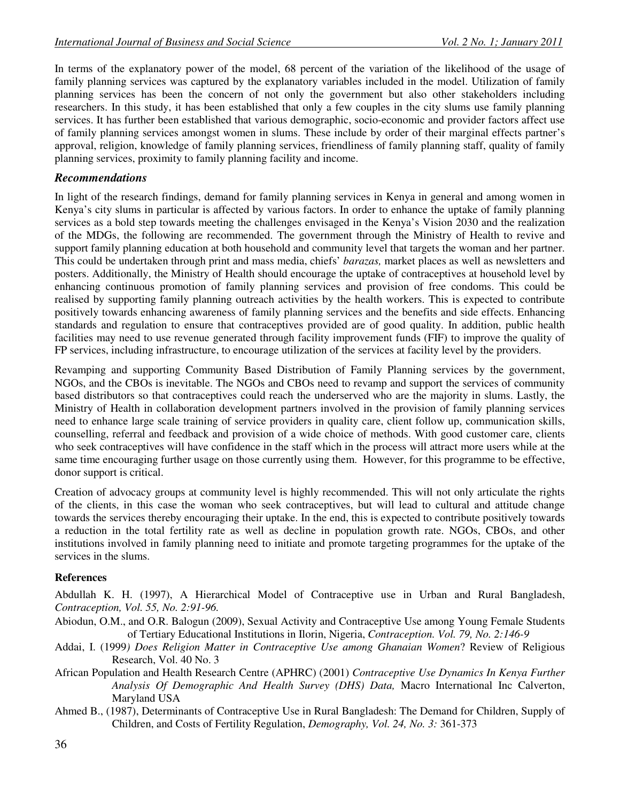In terms of the explanatory power of the model, 68 percent of the variation of the likelihood of the usage of family planning services was captured by the explanatory variables included in the model. Utilization of family planning services has been the concern of not only the government but also other stakeholders including researchers. In this study, it has been established that only a few couples in the city slums use family planning services. It has further been established that various demographic, socio-economic and provider factors affect use of family planning services amongst women in slums. These include by order of their marginal effects partner's approval, religion, knowledge of family planning services, friendliness of family planning staff, quality of family planning services, proximity to family planning facility and income.

## *Recommendations*

In light of the research findings, demand for family planning services in Kenya in general and among women in Kenya's city slums in particular is affected by various factors. In order to enhance the uptake of family planning services as a bold step towards meeting the challenges envisaged in the Kenya's Vision 2030 and the realization of the MDGs, the following are recommended. The government through the Ministry of Health to revive and support family planning education at both household and community level that targets the woman and her partner. This could be undertaken through print and mass media, chiefs' *barazas,* market places as well as newsletters and posters. Additionally, the Ministry of Health should encourage the uptake of contraceptives at household level by enhancing continuous promotion of family planning services and provision of free condoms. This could be realised by supporting family planning outreach activities by the health workers. This is expected to contribute positively towards enhancing awareness of family planning services and the benefits and side effects. Enhancing standards and regulation to ensure that contraceptives provided are of good quality. In addition, public health facilities may need to use revenue generated through facility improvement funds (FIF) to improve the quality of FP services, including infrastructure, to encourage utilization of the services at facility level by the providers.

Revamping and supporting Community Based Distribution of Family Planning services by the government, NGOs, and the CBOs is inevitable. The NGOs and CBOs need to revamp and support the services of community based distributors so that contraceptives could reach the underserved who are the majority in slums. Lastly, the Ministry of Health in collaboration development partners involved in the provision of family planning services need to enhance large scale training of service providers in quality care, client follow up, communication skills, counselling, referral and feedback and provision of a wide choice of methods. With good customer care, clients who seek contraceptives will have confidence in the staff which in the process will attract more users while at the same time encouraging further usage on those currently using them. However, for this programme to be effective, donor support is critical.

Creation of advocacy groups at community level is highly recommended. This will not only articulate the rights of the clients, in this case the woman who seek contraceptives, but will lead to cultural and attitude change towards the services thereby encouraging their uptake. In the end, this is expected to contribute positively towards a reduction in the total fertility rate as well as decline in population growth rate. NGOs, CBOs, and other institutions involved in family planning need to initiate and promote targeting programmes for the uptake of the services in the slums.

### **References**

Abdullah K. H. (1997), A Hierarchical Model of Contraceptive use in Urban and Rural Bangladesh, *Contraception, Vol. 55, No. 2:91-96.*

- Abiodun, O.M., and O.R. Balogun (2009), Sexual Activity and Contraceptive Use among Young Female Students of Tertiary Educational Institutions in Ilorin, Nigeria, *Contraception. Vol. 79, No. 2:146-9*
- Addai, I. (1999*) Does Religion Matter in Contraceptive Use among Ghanaian Women*? Review of Religious Research, Vol. 40 No. 3
- African Population and Health Research Centre (APHRC) (2001) *Contraceptive Use Dynamics In Kenya Further Analysis Of Demographic And Health Survey (DHS) Data,* Macro International Inc Calverton, Maryland USA
- Ahmed B., (1987), Determinants of Contraceptive Use in Rural Bangladesh: The Demand for Children, Supply of Children, and Costs of Fertility Regulation, *Demography, Vol. 24, No. 3:* 361-373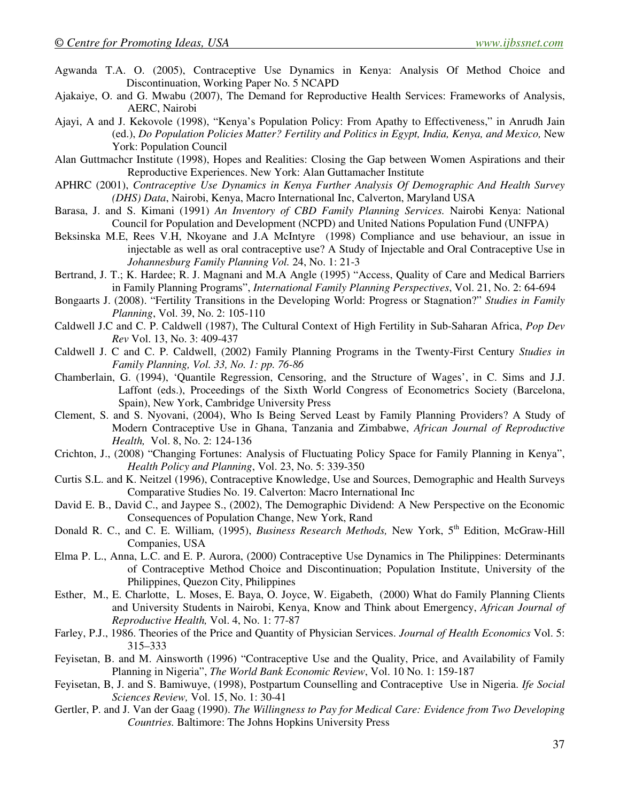- Agwanda T.A. O. (2005), Contraceptive Use Dynamics in Kenya: Analysis Of Method Choice and Discontinuation, Working Paper No. 5 NCAPD
- Ajakaiye, O. and G. Mwabu (2007), The Demand for Reproductive Health Services: Frameworks of Analysis, AERC, Nairobi
- Ajayi, A and J. Kekovole (1998), "Kenya's Population Policy: From Apathy to Effectiveness," in Anrudh Jain (ed.), *Do Population Policies Matter? Fertility and Politics in Egypt, India, Kenya, and Mexico,* New York: Population Council
- Alan Guttmachcr Institute (1998), Hopes and Realities: Closing the Gap between Women Aspirations and their Reproductive Experiences. New York: Alan Guttamacher Institute
- APHRC (2001), *Contraceptive Use Dynamics in Kenya Further Analysis Of Demographic And Health Survey (DHS) Data*, Nairobi, Kenya, Macro International Inc, Calverton, Maryland USA
- Barasa, J. and S. Kimani (1991) *An Inventory of CBD Family Planning Services.* Nairobi Kenya: National Council for Population and Development (NCPD) and United Nations Population Fund (UNFPA)
- Beksinska M.E, Rees V.H, Nkoyane and J.A McIntyre (1998) Compliance and use behaviour, an issue in injectable as well as oral contraceptive use? A Study of Injectable and Oral Contraceptive Use in *Johannesburg Family Planning Vol.* 24, No. 1: 21-3
- Bertrand, J. T.; K. Hardee; R. J. Magnani and M.A Angle (1995) "Access, Quality of Care and Medical Barriers in Family Planning Programs", *International Family Planning Perspectives*, Vol. 21, No. 2: 64-694
- Bongaarts J. (2008). "Fertility Transitions in the Developing World: Progress or Stagnation?" *Studies in Family Planning*, Vol. 39, No. 2: 105-110
- Caldwell J.C and C. P. Caldwell (1987), The Cultural Context of High Fertility in Sub-Saharan Africa, *Pop Dev Rev* Vol. 13, No. 3: 409-437
- Caldwell J. C and C. P. Caldwell, (2002) Family Planning Programs in the Twenty-First Century *Studies in Family Planning, Vol. 33, No. 1: pp. 76-86*
- Chamberlain, G. (1994), 'Quantile Regression, Censoring, and the Structure of Wages', in C. Sims and J.J. Laffont (eds.), Proceedings of the Sixth World Congress of Econometrics Society (Barcelona, Spain), New York, Cambridge University Press
- Clement, S. and S. Nyovani, (2004), Who Is Being Served Least by Family Planning Providers? A Study of Modern Contraceptive Use in Ghana, Tanzania and Zimbabwe, *African Journal of Reproductive Health,* Vol. 8, No. 2: 124-136
- Crichton, J., (2008) "Changing Fortunes: Analysis of Fluctuating Policy Space for Family Planning in Kenya", *Health Policy and Planning*, Vol. 23, No. 5: 339-350
- Curtis S.L. and K. Neitzel (1996), Contraceptive Knowledge, Use and Sources, Demographic and Health Surveys Comparative Studies No. 19. Calverton: Macro International Inc
- David E. B., David C., and Jaypee S., (2002), The Demographic Dividend: A New Perspective on the Economic Consequences of Population Change, New York, Rand
- Donald R. C., and C. E. William, (1995), *Business Research Methods*, New York, 5<sup>th</sup> Edition, McGraw-Hill Companies, USA
- Elma P. L., Anna, L.C. and E. P. Aurora, (2000) Contraceptive Use Dynamics in The Philippines: Determinants of Contraceptive Method Choice and Discontinuation; Population Institute, University of the Philippines, Quezon City, Philippines
- Esther, M., E. Charlotte, L. Moses, E. Baya, O. Joyce, W. Eigabeth, (2000) What do Family Planning Clients and University Students in Nairobi, Kenya, Know and Think about Emergency, *African Journal of Reproductive Health,* Vol. 4, No. 1: 77-87
- Farley, P.J., 1986. Theories of the Price and Quantity of Physician Services. *Journal of Health Economics* Vol. 5: 315–333
- Feyisetan, B. and M. Ainsworth (1996) "Contraceptive Use and the Quality, Price, and Availability of Family Planning in Nigeria", *The World Bank Economic Review*, Vol. 10 No. 1: 159-187
- Feyisetan, B, J. and S. Bamiwuye, (1998), Postpartum Counselling and Contraceptive Use in Nigeria. *Ife Social Sciences Review,* Vol. 15, No. 1: 30-41
- Gertler, P. and J. Van der Gaag (1990). *The Willingness to Pay for Medical Care: Evidence from Two Developing Countries.* Baltimore: The Johns Hopkins University Press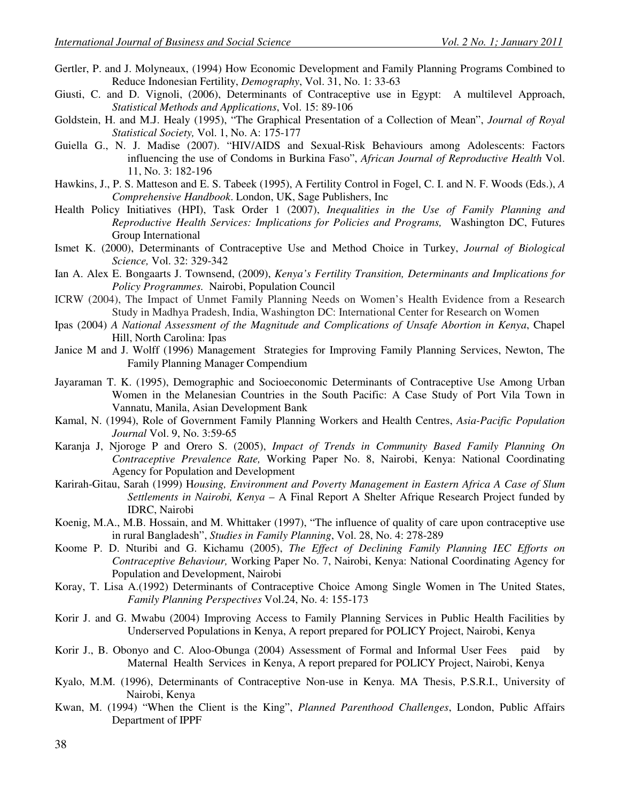- Gertler, P. and J. Molyneaux, (1994) How Economic Development and Family Planning Programs Combined to Reduce Indonesian Fertility, *Demography*, Vol. 31, No. 1: 33-63
- Giusti, C. and D. Vignoli, (2006), Determinants of Contraceptive use in Egypt: A multilevel Approach, *Statistical Methods and Applications*, Vol. 15: 89-106
- Goldstein, H. and M.J. Healy (1995), "The Graphical Presentation of a Collection of Mean", *Journal of Royal Statistical Society,* Vol. 1, No. A: 175-177
- Guiella G., N. J. Madise (2007). "HIV/AIDS and Sexual-Risk Behaviours among Adolescents: Factors influencing the use of Condoms in Burkina Faso", *African Journal of Reproductive Health* Vol. 11, No. 3: 182-196
- Hawkins, J., P. S. Matteson and E. S. Tabeek (1995), A Fertility Control in Fogel, C. I. and N. F. Woods (Eds.), *A Comprehensive Handbook*. London, UK, Sage Publishers, Inc
- Health Policy Initiatives (HPI), Task Order 1 (2007), *Inequalities in the Use of Family Planning and Reproductive Health Services: Implications for Policies and Programs,* Washington DC, Futures Group International
- Ismet K. (2000), Determinants of Contraceptive Use and Method Choice in Turkey, *Journal of Biological Science,* Vol. 32: 329-342
- Ian A. Alex E. Bongaarts J. Townsend, (2009), *Kenya's Fertility Transition, Determinants and Implications for Policy Programmes.* Nairobi, Population Council
- ICRW (2004), The Impact of Unmet Family Planning Needs on Women's Health Evidence from a Research Study in Madhya Pradesh, India, Washington DC: International Center for Research on Women
- Ipas (2004) *A National Assessment of the Magnitude and Complications of Unsafe Abortion in Kenya*, Chapel Hill, North Carolina: Ipas
- Janice M and J. Wolff (1996) Management Strategies for Improving Family Planning Services, Newton, The Family Planning Manager Compendium
- Jayaraman T. K. (1995), Demographic and Socioeconomic Determinants of Contraceptive Use Among Urban Women in the Melanesian Countries in the South Pacific: A Case Study of Port Vila Town in Vannatu, Manila, Asian Development Bank
- Kamal, N. (1994), Role of Government Family Planning Workers and Health Centres, *Asia-Pacific Population Journal* Vol. 9, No. 3:59-65
- Karanja J, Njoroge P and Orero S. (2005), *Impact of Trends in Community Based Family Planning On Contraceptive Prevalence Rate,* Working Paper No. 8, Nairobi, Kenya: National Coordinating Agency for Population and Development
- Karirah-Gitau, Sarah (1999) H*ousing, Environment and Poverty Management in Eastern Africa A Case of Slum Settlements in Nairobi, Kenya* – A Final Report A Shelter Afrique Research Project funded by IDRC, Nairobi
- Koenig, M.A., M.B. Hossain, and M. Whittaker (1997), "The influence of quality of care upon contraceptive use in rural Bangladesh", *Studies in Family Planning*, Vol. 28, No. 4: 278-289
- Koome P. D. Nturibi and G. Kichamu (2005), *The Effect of Declining Family Planning IEC Efforts on Contraceptive Behaviour,* Working Paper No. 7, Nairobi, Kenya: National Coordinating Agency for Population and Development, Nairobi
- Koray, T. Lisa A.(1992) Determinants of Contraceptive Choice Among Single Women in The United States, *Family Planning Perspectives* Vol.24, No. 4: 155-173
- Korir J. and G. Mwabu (2004) Improving Access to Family Planning Services in Public Health Facilities by Underserved Populations in Kenya, A report prepared for POLICY Project, Nairobi, Kenya
- Korir J., B. Obonyo and C. Aloo-Obunga (2004) Assessment of Formal and Informal User Fees paid by Maternal Health Services in Kenya, A report prepared for POLICY Project, Nairobi, Kenya
- Kyalo, M.M. (1996), Determinants of Contraceptive Non-use in Kenya. MA Thesis, P.S.R.I., University of Nairobi, Kenya
- Kwan, M. (1994) "When the Client is the King", *Planned Parenthood Challenges*, London, Public Affairs Department of IPPF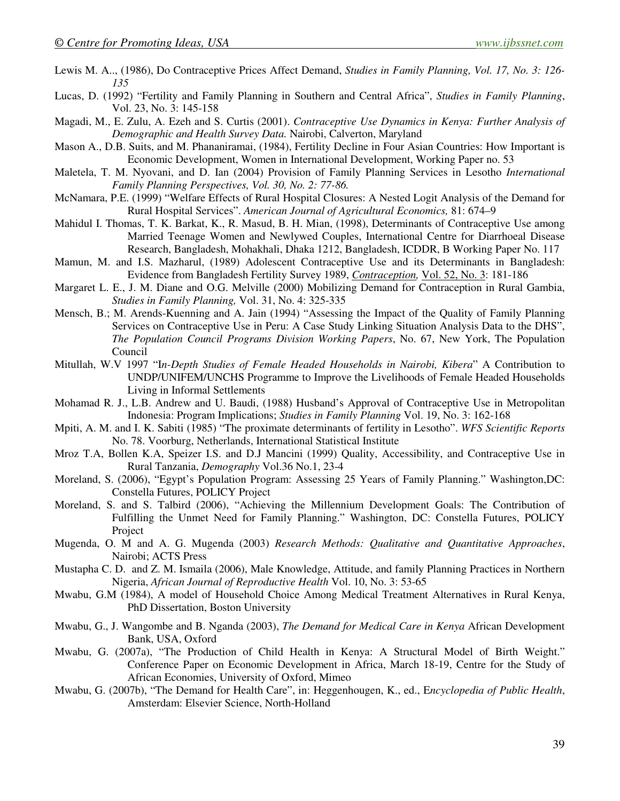- Lewis M. A.., (1986), Do Contraceptive Prices Affect Demand, *Studies in Family Planning, Vol. 17, No. 3: 126- 135*
- Lucas, D. (1992) "Fertility and Family Planning in Southern and Central Africa", *Studies in Family Planning*, Vol. 23, No. 3: 145-158
- Magadi, M., E. Zulu, A. Ezeh and S. Curtis (2001). *Contraceptive Use Dynamics in Kenya: Further Analysis of Demographic and Health Survey Data.* Nairobi, Calverton, Maryland
- Mason A., D.B. Suits, and M. Phananiramai, (1984), Fertility Decline in Four Asian Countries: How Important is Economic Development, Women in International Development, Working Paper no. 53
- Maletela, T. M. Nyovani, and D. Ian (2004) Provision of Family Planning Services in Lesotho *International Family Planning Perspectives, Vol. 30, No. 2: 77-86.*
- McNamara, P.E. (1999) "Welfare Effects of Rural Hospital Closures: A Nested Logit Analysis of the Demand for Rural Hospital Services". *American Journal of Agricultural Economics,* 81: 674–9
- Mahidul I. Thomas, T. K. Barkat, K., R. Masud, B. H. Mian, (1998), Determinants of Contraceptive Use among Married Teenage Women and Newlywed Couples, International Centre for Diarrhoeal Disease Research, Bangladesh, Mohakhali, Dhaka 1212, Bangladesh, ICDDR, B Working Paper No. 117
- Mamun, M. and I.S. Mazharul, (1989) Adolescent Contraceptive Use and its Determinants in Bangladesh: Evidence from Bangladesh Fertility Survey 1989, *Contraception,* Vol. 52, No. 3: 181-186
- Margaret L. E., J. M. Diane and O.G. Melville (2000) Mobilizing Demand for Contraception in Rural Gambia, *Studies in Family Planning,* Vol. 31, No. 4: 325-335
- Mensch, B.; M. Arends-Kuenning and A. Jain (1994) "Assessing the Impact of the Quality of Family Planning Services on Contraceptive Use in Peru: A Case Study Linking Situation Analysis Data to the DHS", *The Population Council Programs Division Working Papers*, No. 67, New York, The Population Council
- Mitullah, W.V 1997 "I*n-Depth Studies of Female Headed Households in Nairobi, Kibera*" A Contribution to UNDP/UNIFEM/UNCHS Programme to Improve the Livelihoods of Female Headed Households Living in Informal Settlements
- Mohamad R. J., L.B. Andrew and U. Baudi, (1988) Husband's Approval of Contraceptive Use in Metropolitan Indonesia: Program Implications; *Studies in Family Planning* Vol. 19, No. 3: 162-168
- Mpiti, A. M. and I. K. Sabiti (1985) "The proximate determinants of fertility in Lesotho". *WFS Scientific Reports* No. 78. Voorburg, Netherlands, International Statistical Institute
- Mroz T.A, Bollen K.A, Speizer I.S. and D.J Mancini (1999) Quality, Accessibility, and Contraceptive Use in Rural Tanzania, *Demography* Vol.36 No.1, 23-4
- Moreland, S. (2006), "Egypt's Population Program: Assessing 25 Years of Family Planning." Washington,DC: Constella Futures, POLICY Project
- Moreland, S. and S. Talbird (2006), "Achieving the Millennium Development Goals: The Contribution of Fulfilling the Unmet Need for Family Planning." Washington, DC: Constella Futures, POLICY Project
- Mugenda, O. M and A. G. Mugenda (2003) *Research Methods: Qualitative and Quantitative Approaches*, Nairobi; ACTS Press
- Mustapha C. D. and Z. M. Ismaila (2006), Male Knowledge, Attitude, and family Planning Practices in Northern Nigeria, *African Journal of Reproductive Health* Vol. 10, No. 3: 53-65
- Mwabu, G.M (1984), A model of Household Choice Among Medical Treatment Alternatives in Rural Kenya, PhD Dissertation, Boston University
- Mwabu, G., J. Wangombe and B. Nganda (2003), *The Demand for Medical Care in Kenya* African Development Bank, USA, Oxford
- Mwabu, G. (2007a), "The Production of Child Health in Kenya: A Structural Model of Birth Weight." Conference Paper on Economic Development in Africa, March 18-19, Centre for the Study of African Economies, University of Oxford, Mimeo
- Mwabu, G. (2007b), "The Demand for Health Care", in: Heggenhougen, K., ed., E*ncyclopedia of Public Health*, Amsterdam: Elsevier Science, North-Holland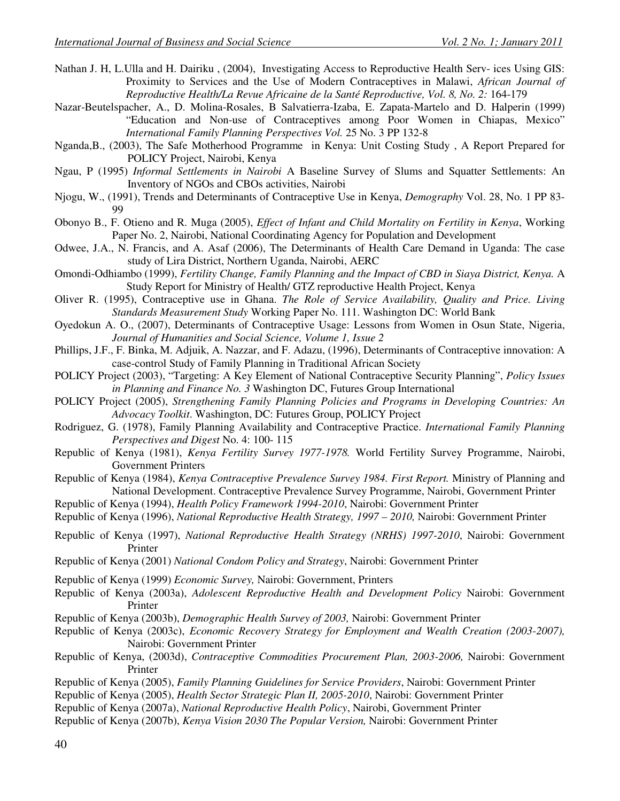- Nathan J. H, L.Ulla and H. Dairiku , (2004), Investigating Access to Reproductive Health Serv- ices Using GIS: Proximity to Services and the Use of Modern Contraceptives in Malawi, *African Journal of Reproductive Health/La Revue Africaine de la Santé Reproductive, Vol. 8, No. 2:* 164-179
- Nazar-Beutelspacher, A., D. Molina-Rosales, B Salvatierra-Izaba, E. Zapata-Martelo and D. Halperin (1999) "Education and Non-use of Contraceptives among Poor Women in Chiapas, Mexico" *International Family Planning Perspectives Vol.* 25 No. 3 PP 132-8
- Nganda,B., (2003), The Safe Motherhood Programme in Kenya: Unit Costing Study , A Report Prepared for POLICY Project, Nairobi, Kenya
- Ngau, P (1995) *Informal Settlements in Nairobi* A Baseline Survey of Slums and Squatter Settlements: An Inventory of NGOs and CBOs activities, Nairobi
- Njogu, W., (1991), Trends and Determinants of Contraceptive Use in Kenya, *Demography* Vol. 28, No. 1 PP 83- 99
- Obonyo B., F. Otieno and R. Muga (2005), *Effect of Infant and Child Mortality on Fertility in Kenya*, Working Paper No. 2, Nairobi, National Coordinating Agency for Population and Development
- Odwee, J.A., N. Francis, and A. Asaf (2006), The Determinants of Health Care Demand in Uganda: The case study of Lira District, Northern Uganda, Nairobi, AERC
- Omondi-Odhiambo (1999), *Fertility Change, Family Planning and the Impact of CBD in Siaya District, Kenya.* A Study Report for Ministry of Health/ GTZ reproductive Health Project, Kenya
- Oliver R. (1995), Contraceptive use in Ghana. *The Role of Service Availability, Quality and Price. Living Standards Measurement Study* Working Paper No. 111. Washington DC: World Bank
- Oyedokun A. O., (2007), Determinants of Contraceptive Usage: Lessons from Women in Osun State, Nigeria, *Journal of Humanities and Social Science, Volume 1, Issue 2*
- Phillips, J.F., F. Binka, M. Adjuik, A. Nazzar, and F. Adazu, (1996), Determinants of Contraceptive innovation: A case-control Study of Family Planning in Traditional African Society
- POLICY Project (2003), "Targeting: A Key Element of National Contraceptive Security Planning", *Policy Issues in Planning and Finance No. 3* Washington DC, Futures Group International
- POLICY Project (2005), *Strengthening Family Planning Policies and Programs in Developing Countries: An Advocacy Toolkit*. Washington, DC: Futures Group, POLICY Project
- Rodriguez, G. (1978), Family Planning Availability and Contraceptive Practice. *International Family Planning Perspectives and Digest* No. 4: 100- 115
- Republic of Kenya (1981), *Kenya Fertility Survey 1977-1978.* World Fertility Survey Programme, Nairobi, Government Printers
- Republic of Kenya (1984), *Kenya Contraceptive Prevalence Survey 1984. First Report.* Ministry of Planning and National Development. Contraceptive Prevalence Survey Programme, Nairobi, Government Printer
- Republic of Kenya (1994), *Health Policy Framework 1994-2010*, Nairobi: Government Printer
- Republic of Kenya (1996), *National Reproductive Health Strategy, 1997 2010,* Nairobi: Government Printer
- Republic of Kenya (1997), *National Reproductive Health Strategy (NRHS) 1997-2010*, Nairobi: Government Printer
- Republic of Kenya (2001) *National Condom Policy and Strategy*, Nairobi: Government Printer
- Republic of Kenya (1999) *Economic Survey,* Nairobi: Government, Printers
- Republic of Kenya (2003a), *Adolescent Reproductive Health and Development Policy* Nairobi: Government Printer
- Republic of Kenya (2003b), *Demographic Health Survey of 2003,* Nairobi: Government Printer
- Republic of Kenya (2003c), *Economic Recovery Strategy for Employment and Wealth Creation (2003-2007),* Nairobi: Government Printer
- Republic of Kenya, (2003d), *Contraceptive Commodities Procurement Plan, 2003-2006,* Nairobi: Government Printer
- Republic of Kenya (2005), *Family Planning Guidelines for Service Providers*, Nairobi: Government Printer
- Republic of Kenya (2005), *Health Sector Strategic Plan II, 2005-2010*, Nairobi: Government Printer
- Republic of Kenya (2007a), *National Reproductive Health Policy*, Nairobi, Government Printer
- Republic of Kenya (2007b), *Kenya Vision 2030 The Popular Version,* Nairobi: Government Printer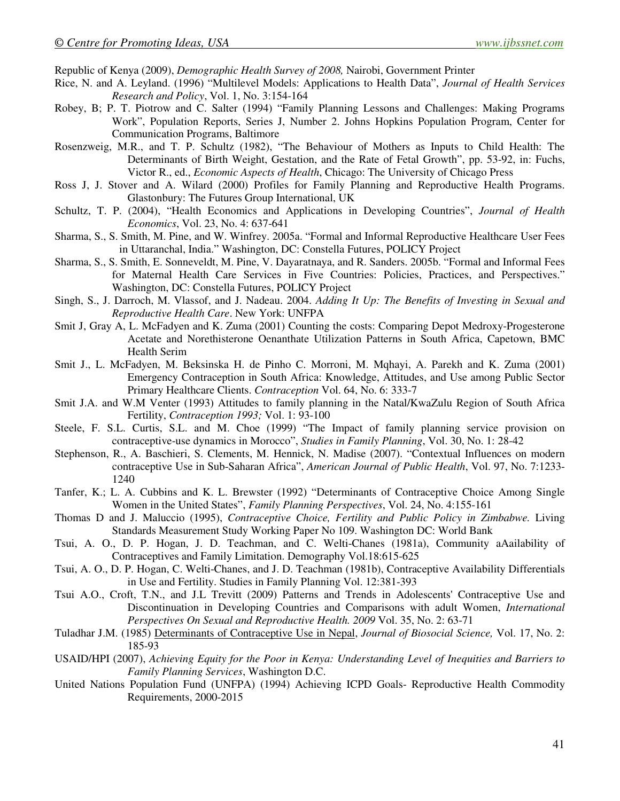Republic of Kenya (2009), *Demographic Health Survey of 2008,* Nairobi, Government Printer

- Rice, N. and A. Leyland. (1996) "Multilevel Models: Applications to Health Data", *Journal of Health Services Research and Policy*, Vol. 1, No. 3:154-164
- Robey, B; P. T. Piotrow and C. Salter (1994) "Family Planning Lessons and Challenges: Making Programs Work", Population Reports, Series J, Number 2. Johns Hopkins Population Program, Center for Communication Programs, Baltimore
- Rosenzweig, M.R., and T. P. Schultz (1982), "The Behaviour of Mothers as Inputs to Child Health: The Determinants of Birth Weight, Gestation, and the Rate of Fetal Growth", pp. 53-92, in: Fuchs, Victor R., ed., *Economic Aspects of Health*, Chicago: The University of Chicago Press
- Ross J, J. Stover and A. Wilard (2000) Profiles for Family Planning and Reproductive Health Programs. Glastonbury: The Futures Group International, UK
- Schultz, T. P. (2004), "Health Economics and Applications in Developing Countries", *Journal of Health Economics*, Vol. 23, No. 4: 637-641
- Sharma, S., S. Smith, M. Pine, and W. Winfrey. 2005a. "Formal and Informal Reproductive Healthcare User Fees in Uttaranchal, India." Washington, DC: Constella Futures, POLICY Project
- Sharma, S., S. Smith, E. Sonneveldt, M. Pine, V. Dayaratnaya, and R. Sanders. 2005b. "Formal and Informal Fees for Maternal Health Care Services in Five Countries: Policies, Practices, and Perspectives." Washington, DC: Constella Futures, POLICY Project
- Singh, S., J. Darroch, M. Vlassof, and J. Nadeau. 2004. *Adding It Up: The Benefits of Investing in Sexual and Reproductive Health Care*. New York: UNFPA
- Smit J, Gray A, L. McFadyen and K. Zuma (2001) Counting the costs: Comparing Depot Medroxy-Progesterone Acetate and Norethisterone Oenanthate Utilization Patterns in South Africa, Capetown, BMC Health Serim
- Smit J., L. McFadyen, M. Beksinska H. de Pinho C. Morroni, M. Mqhayi, A. Parekh and K. Zuma (2001) Emergency Contraception in South Africa: Knowledge, Attitudes, and Use among Public Sector Primary Healthcare Clients. *Contraception* Vol. 64, No. 6: 333-7
- Smit J.A. and W.M Venter (1993) Attitudes to family planning in the Natal/KwaZulu Region of South Africa Fertility, *Contraception 1993;* Vol. 1: 93-100
- Steele, F. S.L. Curtis, S.L. and M. Choe (1999) "The Impact of family planning service provision on contraceptive-use dynamics in Morocco", *Studies in Family Planning*, Vol. 30, No. 1: 28-42
- Stephenson, R., A. Baschieri, S. Clements, M. Hennick, N. Madise (2007). "Contextual Influences on modern contraceptive Use in Sub-Saharan Africa", *American Journal of Public Health*, Vol. 97, No. 7:1233- 1240
- Tanfer, K.; L. A. Cubbins and K. L. Brewster (1992) "Determinants of Contraceptive Choice Among Single Women in the United States", *Family Planning Perspectives*, Vol. 24, No. 4:155-161
- Thomas D and J. Maluccio (1995), *Contraceptive Choice, Fertility and Public Policy in Zimbabwe.* Living Standards Measurement Study Working Paper No 109. Washington DC: World Bank
- Tsui, A. O., D. P. Hogan, J. D. Teachman, and C. Welti-Chanes (1981a), Community aAailability of Contraceptives and Family Limitation. Demography Vol.18:615-625
- Tsui, A. O., D. P. Hogan, C. Welti-Chanes, and J. D. Teachman (1981b), Contraceptive Availability Differentials in Use and Fertility. Studies in Family Planning Vol. 12:381-393
- Tsui A.O., Croft, T.N., and J.L Trevitt (2009) Patterns and Trends in Adolescents' Contraceptive Use and Discontinuation in Developing Countries and Comparisons with adult Women, *International Perspectives On Sexual and Reproductive Health. 2009* Vol. 35, No. 2: 63-71
- Tuladhar J.M. (1985) Determinants of Contraceptive Use in Nepal, *Journal of Biosocial Science,* Vol. 17, No. 2: 185-93
- USAID/HPI (2007), *Achieving Equity for the Poor in Kenya: Understanding Level of Inequities and Barriers to Family Planning Services*, Washington D.C.
- United Nations Population Fund (UNFPA) (1994) Achieving ICPD Goals- Reproductive Health Commodity Requirements, 2000-2015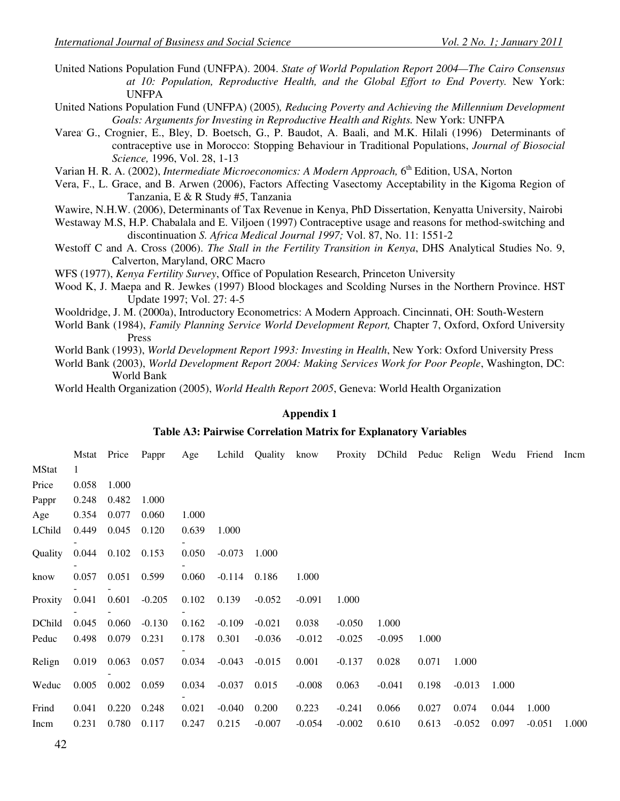United Nations Population Fund (UNFPA). 2004. *State of World Population Report 2004—The Cairo Consensus at 10: Population, Reproductive Health, and the Global Effort to End Poverty.* New York: UNFPA

United Nations Population Fund (UNFPA) (2005)*, Reducing Poverty and Achieving the Millennium Development Goals: Arguments for Investing in Reproductive Health and Rights.* New York: UNFPA

Varea, G., Crognier, E., Bley, D. Boetsch, G., P. Baudot, A. Baali, and M.K. Hilali (1996) Determinants of contraceptive use in Morocco: Stopping Behaviour in Traditional Populations, *Journal of Biosocial Science,* 1996, Vol. 28, 1-13

Varian H. R. A. (2002), *Intermediate Microeconomics: A Modern Approach*, 6<sup>th</sup> Edition, USA, Norton

Vera, F., L. Grace, and B. Arwen (2006), Factors Affecting Vasectomy Acceptability in the Kigoma Region of Tanzania, E & R Study #5, Tanzania

Wawire, N.H.W. (2006), Determinants of Tax Revenue in Kenya, PhD Dissertation, Kenyatta University, Nairobi

Westaway M.S, H.P. Chabalala and E. Viljoen (1997) Contraceptive usage and reasons for method-switching and discontinuation *S. Africa Medical Journal 1997;* Vol. 87, No. 11: 1551-2

Westoff C and A. Cross (2006). *The Stall in the Fertility Transition in Kenya*, DHS Analytical Studies No. 9, Calverton, Maryland, ORC Macro

WFS (1977), *Kenya Fertility Survey*, Office of Population Research, Princeton University

Wood K, J. Maepa and R. Jewkes (1997) Blood blockages and Scolding Nurses in the Northern Province. HST Update 1997; Vol. 27: 4-5

Wooldridge, J. M. (2000a), Introductory Econometrics: A Modern Approach. Cincinnati, OH: South-Western

World Bank (1984), *Family Planning Service World Development Report,* Chapter 7, Oxford, Oxford University Press

World Bank (1993), *World Development Report 1993: Investing in Health*, New York: Oxford University Press

World Bank (2003), *World Development Report 2004: Making Services Work for Poor People*, Washington, DC: World Bank

World Health Organization (2005), *World Health Report 2005*, Geneva: World Health Organization

#### **Appendix 1**

#### **Table A3: Pairwise Correlation Matrix for Explanatory Variables**

|              | Mstat Price |       | Pappr    | Age   | Lchild   | Quality  | know     |          | Proxity DChild Peduc Relign |       |          | Wedu  | Friend   | Incm  |
|--------------|-------------|-------|----------|-------|----------|----------|----------|----------|-----------------------------|-------|----------|-------|----------|-------|
| <b>MStat</b> | 1           |       |          |       |          |          |          |          |                             |       |          |       |          |       |
| Price        | 0.058       | 1.000 |          |       |          |          |          |          |                             |       |          |       |          |       |
| Pappr        | 0.248       | 0.482 | 1.000    |       |          |          |          |          |                             |       |          |       |          |       |
| Age          | 0.354       | 0.077 | 0.060    | 1.000 |          |          |          |          |                             |       |          |       |          |       |
| LChild       | 0.449       | 0.045 | 0.120    | 0.639 | 1.000    |          |          |          |                             |       |          |       |          |       |
| Quality      | 0.044       | 0.102 | 0.153    | 0.050 | $-0.073$ | 1.000    |          |          |                             |       |          |       |          |       |
| know         | 0.057       | 0.051 | 0.599    | 0.060 | $-0.114$ | 0.186    | 1.000    |          |                             |       |          |       |          |       |
| Proxity      | 0.041       | 0.601 | $-0.205$ | 0.102 | 0.139    | $-0.052$ | $-0.091$ | 1.000    |                             |       |          |       |          |       |
| DChild       | 0.045       | 0.060 | $-0.130$ | 0.162 | $-0.109$ | $-0.021$ | 0.038    | $-0.050$ | 1.000                       |       |          |       |          |       |
| Peduc        | 0.498       | 0.079 | 0.231    | 0.178 | 0.301    | $-0.036$ | $-0.012$ | $-0.025$ | $-0.095$                    | 1.000 |          |       |          |       |
| Relign       | 0.019       | 0.063 | 0.057    | 0.034 | $-0.043$ | $-0.015$ | 0.001    | $-0.137$ | 0.028                       | 0.071 | 1.000    |       |          |       |
| Weduc        | 0.005       | 0.002 | 0.059    | 0.034 | $-0.037$ | 0.015    | $-0.008$ | 0.063    | $-0.041$                    | 0.198 | $-0.013$ | 1.000 |          |       |
| Frind        | 0.041       | 0.220 | 0.248    | 0.021 | $-0.040$ | 0.200    | 0.223    | $-0.241$ | 0.066                       | 0.027 | 0.074    | 0.044 | 1.000    |       |
| Incm         | 0.231       | 0.780 | 0.117    | 0.247 | 0.215    | $-0.007$ | $-0.054$ | $-0.002$ | 0.610                       | 0.613 | $-0.052$ | 0.097 | $-0.051$ | 1.000 |